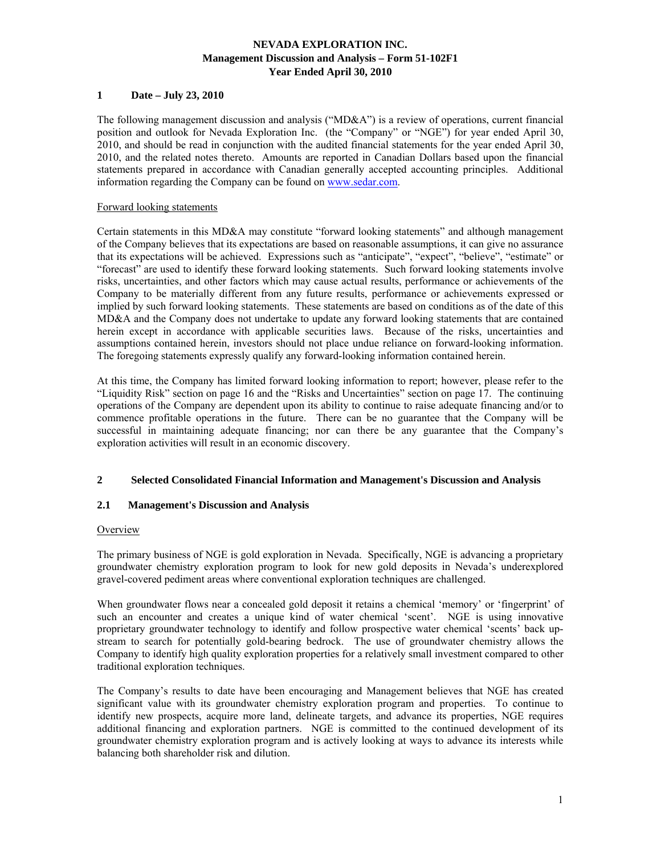# **1 Date – July 23, 2010**

The following management discussion and analysis ("MD&A") is a review of operations, current financial position and outlook for Nevada Exploration Inc. (the "Company" or "NGE") for year ended April 30, 2010, and should be read in conjunction with the audited financial statements for the year ended April 30, 2010, and the related notes thereto. Amounts are reported in Canadian Dollars based upon the financial statements prepared in accordance with Canadian generally accepted accounting principles. Additional information regarding the Company can be found on www.sedar.com.

## Forward looking statements

Certain statements in this MD&A may constitute "forward looking statements" and although management of the Company believes that its expectations are based on reasonable assumptions, it can give no assurance that its expectations will be achieved. Expressions such as "anticipate", "expect", "believe", "estimate" or "forecast" are used to identify these forward looking statements. Such forward looking statements involve risks, uncertainties, and other factors which may cause actual results, performance or achievements of the Company to be materially different from any future results, performance or achievements expressed or implied by such forward looking statements. These statements are based on conditions as of the date of this MD&A and the Company does not undertake to update any forward looking statements that are contained herein except in accordance with applicable securities laws. Because of the risks, uncertainties and assumptions contained herein, investors should not place undue reliance on forward-looking information. The foregoing statements expressly qualify any forward-looking information contained herein.

At this time, the Company has limited forward looking information to report; however, please refer to the "Liquidity Risk" section on page 16 and the "Risks and Uncertainties" section on page 17. The continuing operations of the Company are dependent upon its ability to continue to raise adequate financing and/or to commence profitable operations in the future. There can be no guarantee that the Company will be successful in maintaining adequate financing; nor can there be any guarantee that the Company's exploration activities will result in an economic discovery.

# **2 Selected Consolidated Financial Information and Management's Discussion and Analysis**

# **2.1 Management's Discussion and Analysis**

#### **Overview**

The primary business of NGE is gold exploration in Nevada. Specifically, NGE is advancing a proprietary groundwater chemistry exploration program to look for new gold deposits in Nevada's underexplored gravel-covered pediment areas where conventional exploration techniques are challenged.

When groundwater flows near a concealed gold deposit it retains a chemical 'memory' or 'fingerprint' of such an encounter and creates a unique kind of water chemical 'scent'. NGE is using innovative proprietary groundwater technology to identify and follow prospective water chemical 'scents' back upstream to search for potentially gold-bearing bedrock. The use of groundwater chemistry allows the Company to identify high quality exploration properties for a relatively small investment compared to other traditional exploration techniques.

The Company's results to date have been encouraging and Management believes that NGE has created significant value with its groundwater chemistry exploration program and properties. To continue to identify new prospects, acquire more land, delineate targets, and advance its properties, NGE requires additional financing and exploration partners. NGE is committed to the continued development of its groundwater chemistry exploration program and is actively looking at ways to advance its interests while balancing both shareholder risk and dilution.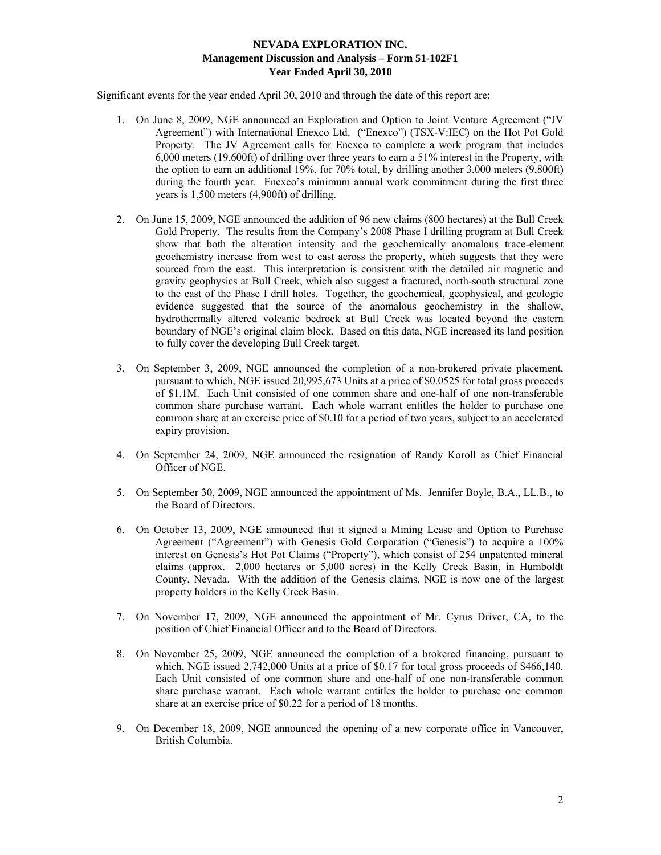Significant events for the year ended April 30, 2010 and through the date of this report are:

- 1. On June 8, 2009, NGE announced an Exploration and Option to Joint Venture Agreement ("JV Agreement") with International Enexco Ltd. ("Enexco") (TSX-V:IEC) on the Hot Pot Gold Property. The JV Agreement calls for Enexco to complete a work program that includes 6,000 meters (19,600ft) of drilling over three years to earn a 51% interest in the Property, with the option to earn an additional 19%, for 70% total, by drilling another 3,000 meters (9,800ft) during the fourth year. Enexco's minimum annual work commitment during the first three years is 1,500 meters (4,900ft) of drilling.
- 2. On June 15, 2009, NGE announced the addition of 96 new claims (800 hectares) at the Bull Creek Gold Property. The results from the Company's 2008 Phase I drilling program at Bull Creek show that both the alteration intensity and the geochemically anomalous trace-element geochemistry increase from west to east across the property, which suggests that they were sourced from the east. This interpretation is consistent with the detailed air magnetic and gravity geophysics at Bull Creek, which also suggest a fractured, north-south structural zone to the east of the Phase I drill holes. Together, the geochemical, geophysical, and geologic evidence suggested that the source of the anomalous geochemistry in the shallow, hydrothermally altered volcanic bedrock at Bull Creek was located beyond the eastern boundary of NGE's original claim block. Based on this data, NGE increased its land position to fully cover the developing Bull Creek target.
- 3. On September 3, 2009, NGE announced the completion of a non-brokered private placement, pursuant to which, NGE issued 20,995,673 Units at a price of \$0.0525 for total gross proceeds of \$1.1M. Each Unit consisted of one common share and one-half of one non-transferable common share purchase warrant. Each whole warrant entitles the holder to purchase one common share at an exercise price of \$0.10 for a period of two years, subject to an accelerated expiry provision.
- 4. On September 24, 2009, NGE announced the resignation of Randy Koroll as Chief Financial Officer of NGE.
- 5. On September 30, 2009, NGE announced the appointment of Ms. Jennifer Boyle, B.A., LL.B., to the Board of Directors.
- 6. On October 13, 2009, NGE announced that it signed a Mining Lease and Option to Purchase Agreement ("Agreement") with Genesis Gold Corporation ("Genesis") to acquire a 100% interest on Genesis's Hot Pot Claims ("Property"), which consist of 254 unpatented mineral claims (approx. 2,000 hectares or 5,000 acres) in the Kelly Creek Basin, in Humboldt County, Nevada. With the addition of the Genesis claims, NGE is now one of the largest property holders in the Kelly Creek Basin.
- 7. On November 17, 2009, NGE announced the appointment of Mr. Cyrus Driver, CA, to the position of Chief Financial Officer and to the Board of Directors.
- 8. On November 25, 2009, NGE announced the completion of a brokered financing, pursuant to which, NGE issued 2,742,000 Units at a price of \$0.17 for total gross proceeds of \$466,140. Each Unit consisted of one common share and one-half of one non-transferable common share purchase warrant. Each whole warrant entitles the holder to purchase one common share at an exercise price of \$0.22 for a period of 18 months.
- 9. On December 18, 2009, NGE announced the opening of a new corporate office in Vancouver, British Columbia.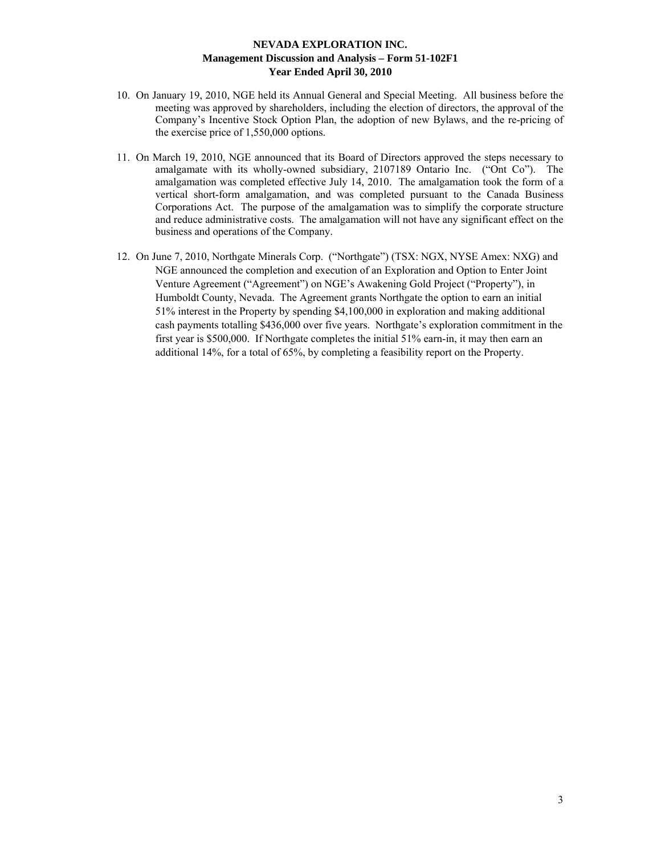- 10. On January 19, 2010, NGE held its Annual General and Special Meeting. All business before the meeting was approved by shareholders, including the election of directors, the approval of the Company's Incentive Stock Option Plan, the adoption of new Bylaws, and the re-pricing of the exercise price of 1,550,000 options.
- 11. On March 19, 2010, NGE announced that its Board of Directors approved the steps necessary to amalgamate with its wholly-owned subsidiary, 2107189 Ontario Inc. ("Ont Co"). The amalgamation was completed effective July 14, 2010. The amalgamation took the form of a vertical short-form amalgamation, and was completed pursuant to the Canada Business Corporations Act. The purpose of the amalgamation was to simplify the corporate structure and reduce administrative costs. The amalgamation will not have any significant effect on the business and operations of the Company.
- 12. On June 7, 2010, Northgate Minerals Corp. ("Northgate") (TSX: NGX, NYSE Amex: NXG) and NGE announced the completion and execution of an Exploration and Option to Enter Joint Venture Agreement ("Agreement") on NGE's Awakening Gold Project ("Property"), in Humboldt County, Nevada. The Agreement grants Northgate the option to earn an initial 51% interest in the Property by spending \$4,100,000 in exploration and making additional cash payments totalling \$436,000 over five years. Northgate's exploration commitment in the first year is \$500,000. If Northgate completes the initial 51% earn-in, it may then earn an additional 14%, for a total of 65%, by completing a feasibility report on the Property.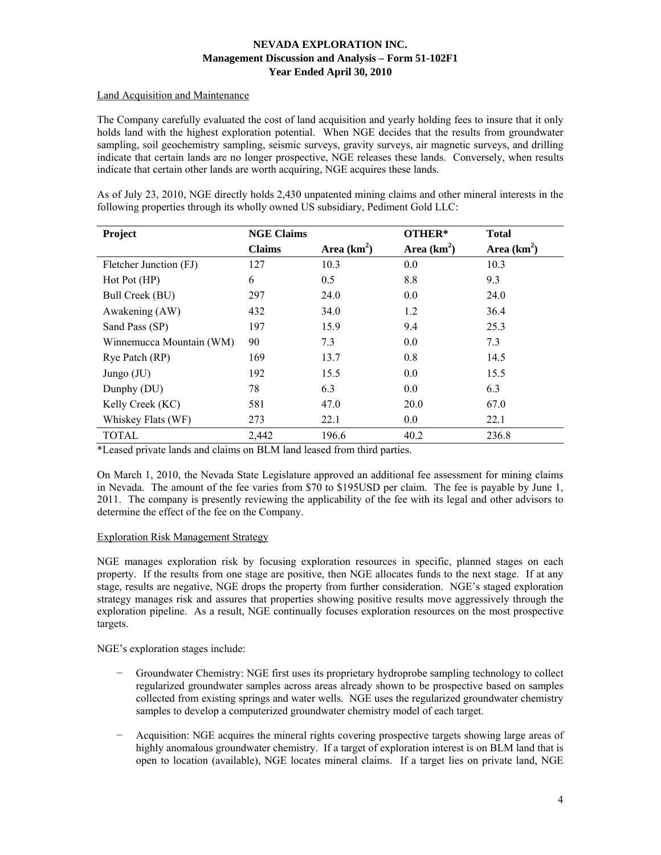# Land Acquisition and Maintenance

The Company carefully evaluated the cost of land acquisition and yearly holding fees to insure that it only holds land with the highest exploration potential. When NGE decides that the results from groundwater sampling, soil geochemistry sampling, seismic surveys, gravity surveys, air magnetic surveys, and drilling indicate that certain lands are no longer prospective, NGE releases these lands. Conversely, when results indicate that certain other lands are worth acquiring, NGE acquires these lands.

As of July 23, 2010, NGE directly holds 2,430 unpatented mining claims and other mineral interests in the following properties through its wholly owned US subsidiary, Pediment Gold LLC:

| Project                  | <b>NGE Claims</b> |               | OTHER*        | <b>Total</b>  |
|--------------------------|-------------------|---------------|---------------|---------------|
|                          | <b>Claims</b>     | Area $(km^2)$ | Area $(km^2)$ | Area $(km^2)$ |
| Fletcher Junction (FJ)   | 127               | 10.3          | 0.0           | 10.3          |
| Hot Pot (HP)             | 6                 | 0.5           | 8.8           | 9.3           |
| Bull Creek (BU)          | 297               | 24.0          | 0.0           | 24.0          |
| Awakening (AW)           | 432               | 34.0          | 1.2           | 36.4          |
| Sand Pass (SP)           | 197               | 15.9          | 9.4           | 25.3          |
| Winnemucca Mountain (WM) | 90                | 7.3           | 0.0           | 7.3           |
| Rye Patch (RP)           | 169               | 13.7          | 0.8           | 14.5          |
| Jungo (JU)               | 192               | 15.5          | 0.0           | 15.5          |
| Dunphy (DU)              | 78                | 6.3           | 0.0           | 6.3           |
| Kelly Creek (KC)         | 581               | 47.0          | 20.0          | 67.0          |
| Whiskey Flats (WF)       | 273               | 22.1          | 0.0           | 22.1          |
| <b>TOTAL</b>             | 2,442             | 196.6         | 40.2          | 236.8         |

\*Leased private lands and claims on BLM land leased from third parties.

On March 1, 2010, the Nevada State Legislature approved an additional fee assessment for mining claims in Nevada. The amount of the fee varies from \$70 to \$195USD per claim. The fee is payable by June 1, 2011. The company is presently reviewing the applicability of the fee with its legal and other advisors to determine the effect of the fee on the Company.

# Exploration Risk Management Strategy

NGE manages exploration risk by focusing exploration resources in specific, planned stages on each property. If the results from one stage are positive, then NGE allocates funds to the next stage. If at any stage, results are negative, NGE drops the property from further consideration. NGE's staged exploration strategy manages risk and assures that properties showing positive results move aggressively through the exploration pipeline. As a result, NGE continually focuses exploration resources on the most prospective targets.

NGE's exploration stages include:

- − Groundwater Chemistry: NGE first uses its proprietary hydroprobe sampling technology to collect regularized groundwater samples across areas already shown to be prospective based on samples collected from existing springs and water wells. NGE uses the regularized groundwater chemistry samples to develop a computerized groundwater chemistry model of each target.
- − Acquisition: NGE acquires the mineral rights covering prospective targets showing large areas of highly anomalous groundwater chemistry. If a target of exploration interest is on BLM land that is open to location (available), NGE locates mineral claims. If a target lies on private land, NGE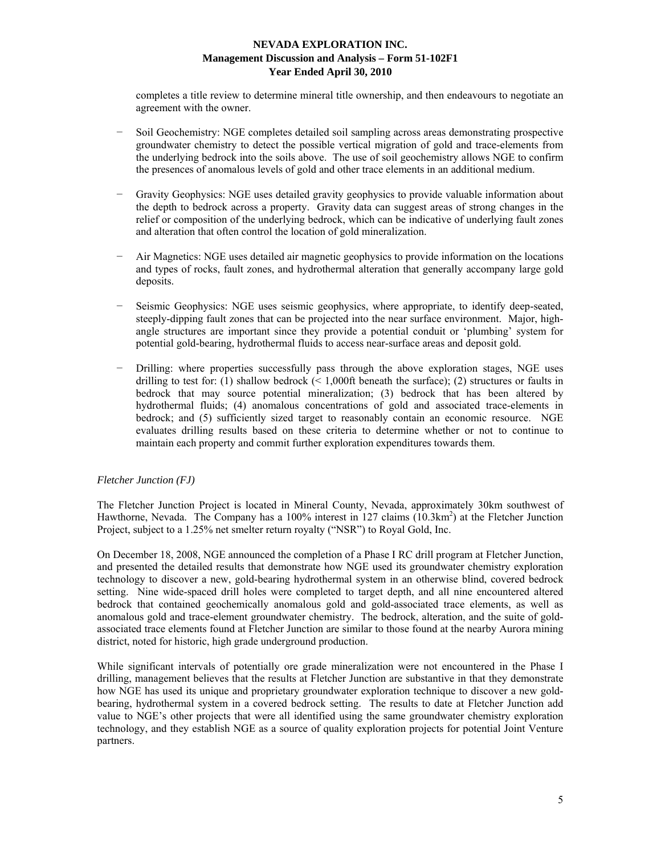completes a title review to determine mineral title ownership, and then endeavours to negotiate an agreement with the owner.

- Soil Geochemistry: NGE completes detailed soil sampling across areas demonstrating prospective groundwater chemistry to detect the possible vertical migration of gold and trace-elements from the underlying bedrock into the soils above. The use of soil geochemistry allows NGE to confirm the presences of anomalous levels of gold and other trace elements in an additional medium.
- Gravity Geophysics: NGE uses detailed gravity geophysics to provide valuable information about the depth to bedrock across a property. Gravity data can suggest areas of strong changes in the relief or composition of the underlying bedrock, which can be indicative of underlying fault zones and alteration that often control the location of gold mineralization.
- − Air Magnetics: NGE uses detailed air magnetic geophysics to provide information on the locations and types of rocks, fault zones, and hydrothermal alteration that generally accompany large gold deposits.
- Seismic Geophysics: NGE uses seismic geophysics, where appropriate, to identify deep-seated, steeply-dipping fault zones that can be projected into the near surface environment. Major, highangle structures are important since they provide a potential conduit or 'plumbing' system for potential gold-bearing, hydrothermal fluids to access near-surface areas and deposit gold.
- Drilling: where properties successfully pass through the above exploration stages, NGE uses drilling to test for: (1) shallow bedrock  $($  < 1,000ft beneath the surface); (2) structures or faults in bedrock that may source potential mineralization; (3) bedrock that has been altered by hydrothermal fluids; (4) anomalous concentrations of gold and associated trace-elements in bedrock; and (5) sufficiently sized target to reasonably contain an economic resource. NGE evaluates drilling results based on these criteria to determine whether or not to continue to maintain each property and commit further exploration expenditures towards them.

# *Fletcher Junction (FJ)*

The Fletcher Junction Project is located in Mineral County, Nevada, approximately 30km southwest of Hawthorne, Nevada. The Company has a 100% interest in 127 claims (10.3km<sup>2</sup>) at the Fletcher Junction Project, subject to a 1.25% net smelter return royalty ("NSR") to Royal Gold, Inc.

On December 18, 2008, NGE announced the completion of a Phase I RC drill program at Fletcher Junction, and presented the detailed results that demonstrate how NGE used its groundwater chemistry exploration technology to discover a new, gold-bearing hydrothermal system in an otherwise blind, covered bedrock setting. Nine wide-spaced drill holes were completed to target depth, and all nine encountered altered bedrock that contained geochemically anomalous gold and gold-associated trace elements, as well as anomalous gold and trace-element groundwater chemistry. The bedrock, alteration, and the suite of goldassociated trace elements found at Fletcher Junction are similar to those found at the nearby Aurora mining district, noted for historic, high grade underground production.

While significant intervals of potentially ore grade mineralization were not encountered in the Phase I drilling, management believes that the results at Fletcher Junction are substantive in that they demonstrate how NGE has used its unique and proprietary groundwater exploration technique to discover a new goldbearing, hydrothermal system in a covered bedrock setting. The results to date at Fletcher Junction add value to NGE's other projects that were all identified using the same groundwater chemistry exploration technology, and they establish NGE as a source of quality exploration projects for potential Joint Venture partners.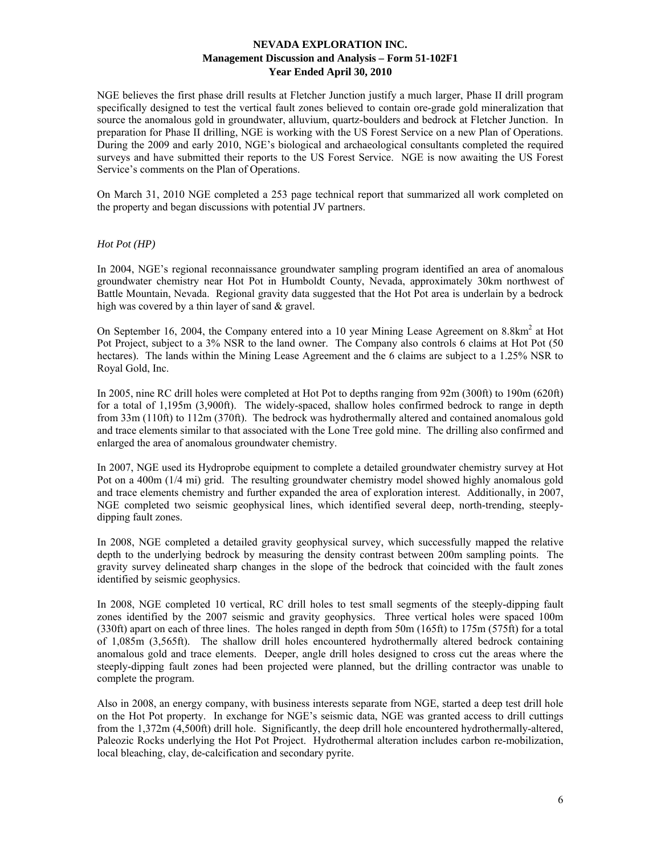NGE believes the first phase drill results at Fletcher Junction justify a much larger, Phase II drill program specifically designed to test the vertical fault zones believed to contain ore-grade gold mineralization that source the anomalous gold in groundwater, alluvium, quartz-boulders and bedrock at Fletcher Junction. In preparation for Phase II drilling, NGE is working with the US Forest Service on a new Plan of Operations. During the 2009 and early 2010, NGE's biological and archaeological consultants completed the required surveys and have submitted their reports to the US Forest Service. NGE is now awaiting the US Forest Service's comments on the Plan of Operations.

On March 31, 2010 NGE completed a 253 page technical report that summarized all work completed on the property and began discussions with potential JV partners.

## *Hot Pot (HP)*

In 2004, NGE's regional reconnaissance groundwater sampling program identified an area of anomalous groundwater chemistry near Hot Pot in Humboldt County, Nevada, approximately 30km northwest of Battle Mountain, Nevada. Regional gravity data suggested that the Hot Pot area is underlain by a bedrock high was covered by a thin layer of sand & gravel.

On September 16, 2004, the Company entered into a 10 year Mining Lease Agreement on 8.8km<sup>2</sup> at Hot Pot Project, subject to a 3% NSR to the land owner. The Company also controls 6 claims at Hot Pot (50 hectares). The lands within the Mining Lease Agreement and the 6 claims are subject to a 1.25% NSR to Royal Gold, Inc.

In 2005, nine RC drill holes were completed at Hot Pot to depths ranging from 92m (300ft) to 190m (620ft) for a total of 1,195m (3,900ft). The widely-spaced, shallow holes confirmed bedrock to range in depth from 33m (110ft) to 112m (370ft). The bedrock was hydrothermally altered and contained anomalous gold and trace elements similar to that associated with the Lone Tree gold mine. The drilling also confirmed and enlarged the area of anomalous groundwater chemistry.

In 2007, NGE used its Hydroprobe equipment to complete a detailed groundwater chemistry survey at Hot Pot on a 400m (1/4 mi) grid. The resulting groundwater chemistry model showed highly anomalous gold and trace elements chemistry and further expanded the area of exploration interest. Additionally, in 2007, NGE completed two seismic geophysical lines, which identified several deep, north-trending, steeplydipping fault zones.

In 2008, NGE completed a detailed gravity geophysical survey, which successfully mapped the relative depth to the underlying bedrock by measuring the density contrast between 200m sampling points. The gravity survey delineated sharp changes in the slope of the bedrock that coincided with the fault zones identified by seismic geophysics.

In 2008, NGE completed 10 vertical, RC drill holes to test small segments of the steeply-dipping fault zones identified by the 2007 seismic and gravity geophysics. Three vertical holes were spaced 100m (330ft) apart on each of three lines. The holes ranged in depth from 50m (165ft) to 175m (575ft) for a total of 1,085m (3,565ft). The shallow drill holes encountered hydrothermally altered bedrock containing anomalous gold and trace elements. Deeper, angle drill holes designed to cross cut the areas where the steeply-dipping fault zones had been projected were planned, but the drilling contractor was unable to complete the program.

Also in 2008, an energy company, with business interests separate from NGE, started a deep test drill hole on the Hot Pot property. In exchange for NGE's seismic data, NGE was granted access to drill cuttings from the 1,372m (4,500ft) drill hole. Significantly, the deep drill hole encountered hydrothermally-altered, Paleozic Rocks underlying the Hot Pot Project. Hydrothermal alteration includes carbon re-mobilization, local bleaching, clay, de-calcification and secondary pyrite.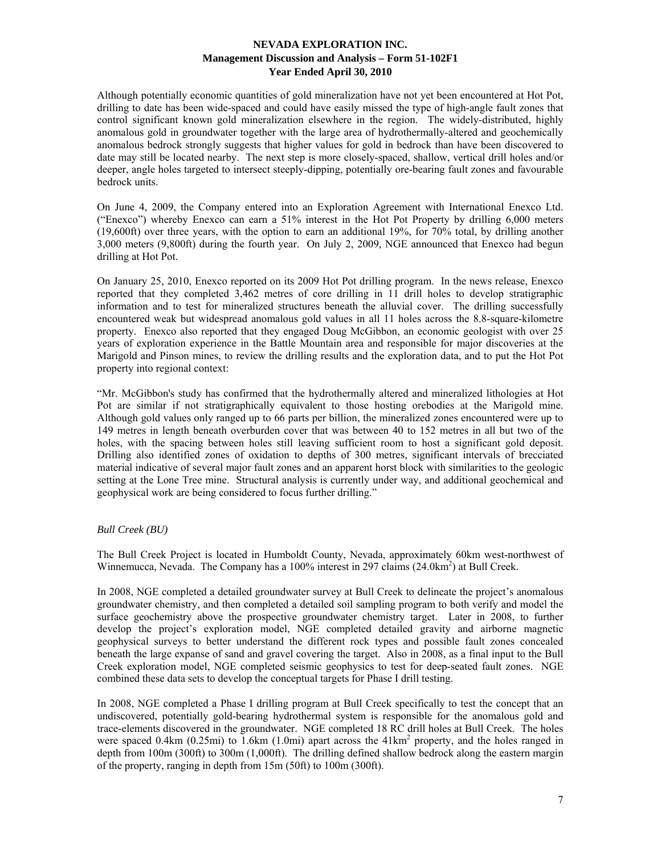Although potentially economic quantities of gold mineralization have not yet been encountered at Hot Pot, drilling to date has been wide-spaced and could have easily missed the type of high-angle fault zones that control significant known gold mineralization elsewhere in the region. The widely-distributed, highly anomalous gold in groundwater together with the large area of hydrothermally-altered and geochemically anomalous bedrock strongly suggests that higher values for gold in bedrock than have been discovered to date may still be located nearby. The next step is more closely-spaced, shallow, vertical drill holes and/or deeper, angle holes targeted to intersect steeply-dipping, potentially ore-bearing fault zones and favourable bedrock units.

On June 4, 2009, the Company entered into an Exploration Agreement with International Enexco Ltd. ("Enexco") whereby Enexco can earn a 51% interest in the Hot Pot Property by drilling 6,000 meters (19,600ft) over three years, with the option to earn an additional 19%, for 70% total, by drilling another 3,000 meters (9,800ft) during the fourth year. On July 2, 2009, NGE announced that Enexco had begun drilling at Hot Pot.

On January 25, 2010, Enexco reported on its 2009 Hot Pot drilling program. In the news release, Enexco reported that they completed 3,462 metres of core drilling in 11 drill holes to develop stratigraphic information and to test for mineralized structures beneath the alluvial cover. The drilling successfully encountered weak but widespread anomalous gold values in all 11 holes across the 8.8-square-kilometre property. Enexco also reported that they engaged Doug McGibbon, an economic geologist with over 25 years of exploration experience in the Battle Mountain area and responsible for major discoveries at the Marigold and Pinson mines, to review the drilling results and the exploration data, and to put the Hot Pot property into regional context:

"Mr. McGibbon's study has confirmed that the hydrothermally altered and mineralized lithologies at Hot Pot are similar if not stratigraphically equivalent to those hosting orebodies at the Marigold mine. Although gold values only ranged up to 66 parts per billion, the mineralized zones encountered were up to 149 metres in length beneath overburden cover that was between 40 to 152 metres in all but two of the holes, with the spacing between holes still leaving sufficient room to host a significant gold deposit. Drilling also identified zones of oxidation to depths of 300 metres, significant intervals of brecciated material indicative of several major fault zones and an apparent horst block with similarities to the geologic setting at the Lone Tree mine. Structural analysis is currently under way, and additional geochemical and geophysical work are being considered to focus further drilling."

# *Bull Creek (BU)*

The Bull Creek Project is located in Humboldt County, Nevada, approximately 60km west-northwest of Winnemucca, Nevada. The Company has a 100% interest in 297 claims (24.0km<sup>2</sup>) at Bull Creek.

In 2008, NGE completed a detailed groundwater survey at Bull Creek to delineate the project's anomalous groundwater chemistry, and then completed a detailed soil sampling program to both verify and model the surface geochemistry above the prospective groundwater chemistry target. Later in 2008, to further develop the project's exploration model, NGE completed detailed gravity and airborne magnetic geophysical surveys to better understand the different rock types and possible fault zones concealed beneath the large expanse of sand and gravel covering the target. Also in 2008, as a final input to the Bull Creek exploration model, NGE completed seismic geophysics to test for deep-seated fault zones. NGE combined these data sets to develop the conceptual targets for Phase I drill testing.

In 2008, NGE completed a Phase I drilling program at Bull Creek specifically to test the concept that an undiscovered, potentially gold-bearing hydrothermal system is responsible for the anomalous gold and trace-elements discovered in the groundwater. NGE completed 18 RC drill holes at Bull Creek. The holes were spaced 0.4km  $(0.25mi)$  to 1.6km  $(1.0mi)$  apart across the  $41km^2$  property, and the holes ranged in depth from 100m (300ft) to 300m (1,000ft). The drilling defined shallow bedrock along the eastern margin of the property, ranging in depth from 15m (50ft) to 100m (300ft).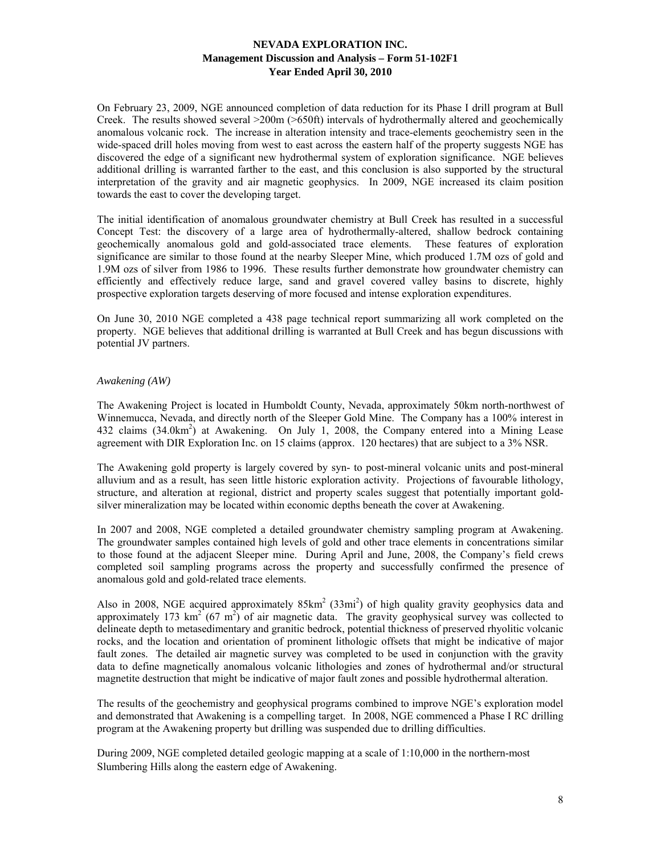On February 23, 2009, NGE announced completion of data reduction for its Phase I drill program at Bull Creek. The results showed several >200m (>650ft) intervals of hydrothermally altered and geochemically anomalous volcanic rock. The increase in alteration intensity and trace-elements geochemistry seen in the wide-spaced drill holes moving from west to east across the eastern half of the property suggests NGE has discovered the edge of a significant new hydrothermal system of exploration significance. NGE believes additional drilling is warranted farther to the east, and this conclusion is also supported by the structural interpretation of the gravity and air magnetic geophysics. In 2009, NGE increased its claim position towards the east to cover the developing target.

The initial identification of anomalous groundwater chemistry at Bull Creek has resulted in a successful Concept Test: the discovery of a large area of hydrothermally-altered, shallow bedrock containing geochemically anomalous gold and gold-associated trace elements. These features of exploration significance are similar to those found at the nearby Sleeper Mine, which produced 1.7M ozs of gold and 1.9M ozs of silver from 1986 to 1996. These results further demonstrate how groundwater chemistry can efficiently and effectively reduce large, sand and gravel covered valley basins to discrete, highly prospective exploration targets deserving of more focused and intense exploration expenditures.

On June 30, 2010 NGE completed a 438 page technical report summarizing all work completed on the property. NGE believes that additional drilling is warranted at Bull Creek and has begun discussions with potential JV partners.

# *Awakening (AW)*

The Awakening Project is located in Humboldt County, Nevada, approximately 50km north-northwest of Winnemucca, Nevada, and directly north of the Sleeper Gold Mine. The Company has a 100% interest in 432 claims (34.0km<sup>2</sup>) at Awakening. On July 1, 2008, the Company entered into a Mining Lease agreement with DIR Exploration Inc. on 15 claims (approx. 120 hectares) that are subject to a 3% NSR.

The Awakening gold property is largely covered by syn- to post-mineral volcanic units and post-mineral alluvium and as a result, has seen little historic exploration activity. Projections of favourable lithology, structure, and alteration at regional, district and property scales suggest that potentially important goldsilver mineralization may be located within economic depths beneath the cover at Awakening.

In 2007 and 2008, NGE completed a detailed groundwater chemistry sampling program at Awakening. The groundwater samples contained high levels of gold and other trace elements in concentrations similar to those found at the adjacent Sleeper mine. During April and June, 2008, the Company's field crews completed soil sampling programs across the property and successfully confirmed the presence of anomalous gold and gold-related trace elements.

Also in 2008, NGE acquired approximately  $85 \text{km}^2$  (33mi<sup>2</sup>) of high quality gravity geophysics data and approximately 173  $\text{km}^2$  (67 m<sup>2</sup>) of air magnetic data. The gravity geophysical survey was collected to delineate depth to metasedimentary and granitic bedrock, potential thickness of preserved rhyolitic volcanic rocks, and the location and orientation of prominent lithologic offsets that might be indicative of major fault zones. The detailed air magnetic survey was completed to be used in conjunction with the gravity data to define magnetically anomalous volcanic lithologies and zones of hydrothermal and/or structural magnetite destruction that might be indicative of major fault zones and possible hydrothermal alteration.

The results of the geochemistry and geophysical programs combined to improve NGE's exploration model and demonstrated that Awakening is a compelling target. In 2008, NGE commenced a Phase I RC drilling program at the Awakening property but drilling was suspended due to drilling difficulties.

During 2009, NGE completed detailed geologic mapping at a scale of 1:10,000 in the northern-most Slumbering Hills along the eastern edge of Awakening.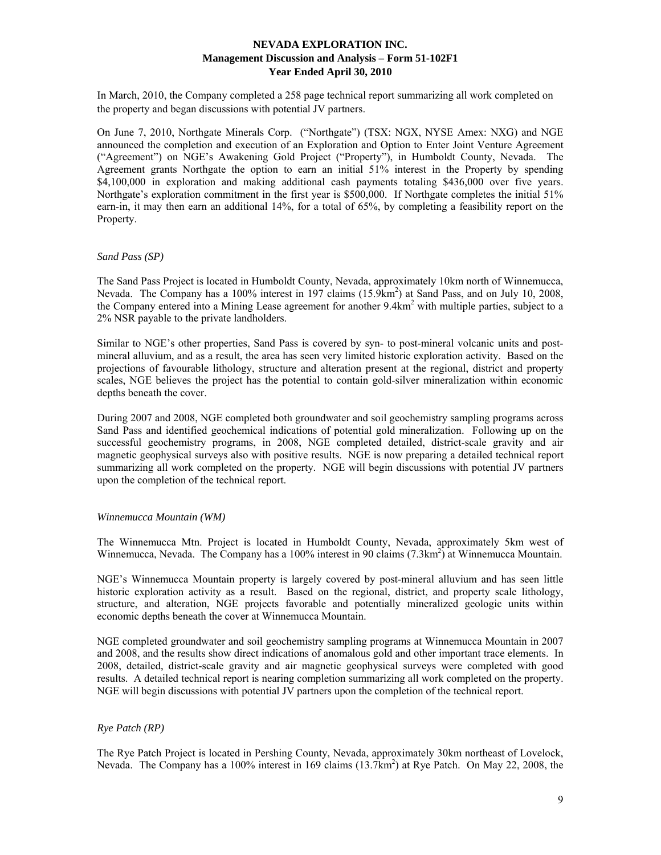In March, 2010, the Company completed a 258 page technical report summarizing all work completed on the property and began discussions with potential JV partners.

On June 7, 2010, Northgate Minerals Corp. ("Northgate") (TSX: NGX, NYSE Amex: NXG) and NGE announced the completion and execution of an Exploration and Option to Enter Joint Venture Agreement ("Agreement") on NGE's Awakening Gold Project ("Property"), in Humboldt County, Nevada. The Agreement grants Northgate the option to earn an initial 51% interest in the Property by spending \$4,100,000 in exploration and making additional cash payments totaling \$436,000 over five years. Northgate's exploration commitment in the first year is \$500,000. If Northgate completes the initial 51% earn-in, it may then earn an additional 14%, for a total of 65%, by completing a feasibility report on the Property.

#### *Sand Pass (SP)*

The Sand Pass Project is located in Humboldt County, Nevada, approximately 10km north of Winnemucca, Nevada. The Company has a 100% interest in 197 claims (15.9km<sup>2</sup>) at Sand Pass, and on July 10, 2008, the Company entered into a Mining Lease agreement for another 9.4km<sup>2</sup> with multiple parties, subject to a 2% NSR payable to the private landholders.

Similar to NGE's other properties, Sand Pass is covered by syn- to post-mineral volcanic units and postmineral alluvium, and as a result, the area has seen very limited historic exploration activity. Based on the projections of favourable lithology, structure and alteration present at the regional, district and property scales, NGE believes the project has the potential to contain gold-silver mineralization within economic depths beneath the cover.

During 2007 and 2008, NGE completed both groundwater and soil geochemistry sampling programs across Sand Pass and identified geochemical indications of potential gold mineralization. Following up on the successful geochemistry programs, in 2008, NGE completed detailed, district-scale gravity and air magnetic geophysical surveys also with positive results. NGE is now preparing a detailed technical report summarizing all work completed on the property. NGE will begin discussions with potential JV partners upon the completion of the technical report.

# *Winnemucca Mountain (WM)*

The Winnemucca Mtn. Project is located in Humboldt County, Nevada, approximately 5km west of Winnemucca, Nevada. The Company has a 100% interest in 90 claims  $(7.3 \text{km}^2)$  at Winnemucca Mountain.

NGE's Winnemucca Mountain property is largely covered by post-mineral alluvium and has seen little historic exploration activity as a result. Based on the regional, district, and property scale lithology, structure, and alteration, NGE projects favorable and potentially mineralized geologic units within economic depths beneath the cover at Winnemucca Mountain.

NGE completed groundwater and soil geochemistry sampling programs at Winnemucca Mountain in 2007 and 2008, and the results show direct indications of anomalous gold and other important trace elements. In 2008, detailed, district-scale gravity and air magnetic geophysical surveys were completed with good results. A detailed technical report is nearing completion summarizing all work completed on the property. NGE will begin discussions with potential JV partners upon the completion of the technical report.

# *Rye Patch (RP)*

The Rye Patch Project is located in Pershing County, Nevada, approximately 30km northeast of Lovelock, Nevada. The Company has a 100% interest in 169 claims (13.7km<sup>2</sup>) at Rye Patch. On May 22, 2008, the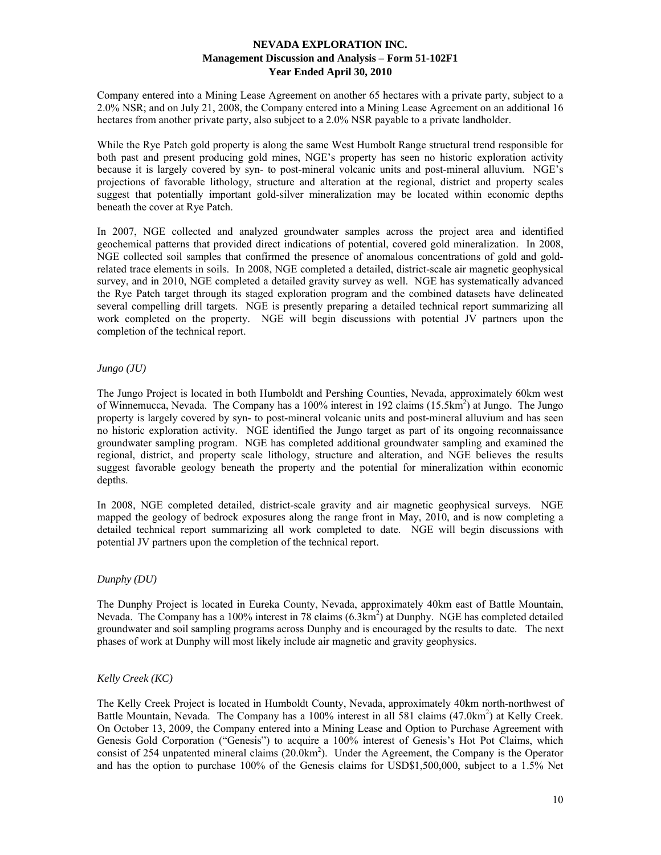Company entered into a Mining Lease Agreement on another 65 hectares with a private party, subject to a 2.0% NSR; and on July 21, 2008, the Company entered into a Mining Lease Agreement on an additional 16 hectares from another private party, also subject to a 2.0% NSR payable to a private landholder.

While the Rye Patch gold property is along the same West Humbolt Range structural trend responsible for both past and present producing gold mines, NGE's property has seen no historic exploration activity because it is largely covered by syn- to post-mineral volcanic units and post-mineral alluvium. NGE's projections of favorable lithology, structure and alteration at the regional, district and property scales suggest that potentially important gold-silver mineralization may be located within economic depths beneath the cover at Rye Patch.

In 2007, NGE collected and analyzed groundwater samples across the project area and identified geochemical patterns that provided direct indications of potential, covered gold mineralization. In 2008, NGE collected soil samples that confirmed the presence of anomalous concentrations of gold and goldrelated trace elements in soils. In 2008, NGE completed a detailed, district-scale air magnetic geophysical survey, and in 2010, NGE completed a detailed gravity survey as well. NGE has systematically advanced the Rye Patch target through its staged exploration program and the combined datasets have delineated several compelling drill targets. NGE is presently preparing a detailed technical report summarizing all work completed on the property. NGE will begin discussions with potential JV partners upon the completion of the technical report.

# *Jungo (JU)*

The Jungo Project is located in both Humboldt and Pershing Counties, Nevada, approximately 60km west of Winnemucca, Nevada. The Company has a 100% interest in 192 claims (15.5km<sup>2</sup>) at Jungo. The Jungo property is largely covered by syn- to post-mineral volcanic units and post-mineral alluvium and has seen no historic exploration activity. NGE identified the Jungo target as part of its ongoing reconnaissance groundwater sampling program. NGE has completed additional groundwater sampling and examined the regional, district, and property scale lithology, structure and alteration, and NGE believes the results suggest favorable geology beneath the property and the potential for mineralization within economic depths.

In 2008, NGE completed detailed, district-scale gravity and air magnetic geophysical surveys. NGE mapped the geology of bedrock exposures along the range front in May, 2010, and is now completing a detailed technical report summarizing all work completed to date. NGE will begin discussions with potential JV partners upon the completion of the technical report.

# *Dunphy (DU)*

The Dunphy Project is located in Eureka County, Nevada, approximately 40km east of Battle Mountain, Nevada. The Company has a 100% interest in 78 claims (6.3km<sup>2</sup>) at Dunphy. NGE has completed detailed groundwater and soil sampling programs across Dunphy and is encouraged by the results to date. The next phases of work at Dunphy will most likely include air magnetic and gravity geophysics.

# *Kelly Creek (KC)*

The Kelly Creek Project is located in Humboldt County, Nevada, approximately 40km north-northwest of Battle Mountain, Nevada. The Company has a 100% interest in all 581 claims (47.0km<sup>2</sup>) at Kelly Creek. On October 13, 2009, the Company entered into a Mining Lease and Option to Purchase Agreement with Genesis Gold Corporation ("Genesis") to acquire a 100% interest of Genesis's Hot Pot Claims, which consist of 254 unpatented mineral claims (20.0km<sup>2</sup>). Under the Agreement, the Company is the Operator and has the option to purchase 100% of the Genesis claims for USD\$1,500,000, subject to a 1.5% Net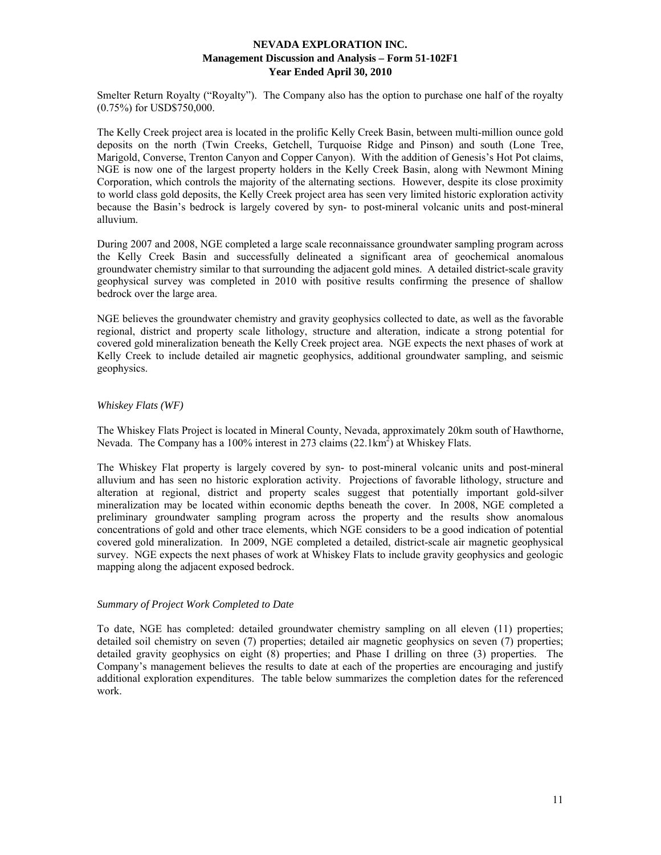Smelter Return Royalty ("Royalty"). The Company also has the option to purchase one half of the royalty (0.75%) for USD\$750,000.

The Kelly Creek project area is located in the prolific Kelly Creek Basin, between multi-million ounce gold deposits on the north (Twin Creeks, Getchell, Turquoise Ridge and Pinson) and south (Lone Tree, Marigold, Converse, Trenton Canyon and Copper Canyon). With the addition of Genesis's Hot Pot claims, NGE is now one of the largest property holders in the Kelly Creek Basin, along with Newmont Mining Corporation, which controls the majority of the alternating sections. However, despite its close proximity to world class gold deposits, the Kelly Creek project area has seen very limited historic exploration activity because the Basin's bedrock is largely covered by syn- to post-mineral volcanic units and post-mineral alluvium.

During 2007 and 2008, NGE completed a large scale reconnaissance groundwater sampling program across the Kelly Creek Basin and successfully delineated a significant area of geochemical anomalous groundwater chemistry similar to that surrounding the adjacent gold mines. A detailed district-scale gravity geophysical survey was completed in 2010 with positive results confirming the presence of shallow bedrock over the large area.

NGE believes the groundwater chemistry and gravity geophysics collected to date, as well as the favorable regional, district and property scale lithology, structure and alteration, indicate a strong potential for covered gold mineralization beneath the Kelly Creek project area. NGE expects the next phases of work at Kelly Creek to include detailed air magnetic geophysics, additional groundwater sampling, and seismic geophysics.

# *Whiskey Flats (WF)*

The Whiskey Flats Project is located in Mineral County, Nevada, approximately 20km south of Hawthorne, Nevada. The Company has a 100% interest in 273 claims  $(22.1 \text{km}^2)$  at Whiskey Flats.

The Whiskey Flat property is largely covered by syn- to post-mineral volcanic units and post-mineral alluvium and has seen no historic exploration activity. Projections of favorable lithology, structure and alteration at regional, district and property scales suggest that potentially important gold-silver mineralization may be located within economic depths beneath the cover. In 2008, NGE completed a preliminary groundwater sampling program across the property and the results show anomalous concentrations of gold and other trace elements, which NGE considers to be a good indication of potential covered gold mineralization. In 2009, NGE completed a detailed, district-scale air magnetic geophysical survey. NGE expects the next phases of work at Whiskey Flats to include gravity geophysics and geologic mapping along the adjacent exposed bedrock.

## *Summary of Project Work Completed to Date*

To date, NGE has completed: detailed groundwater chemistry sampling on all eleven (11) properties; detailed soil chemistry on seven (7) properties; detailed air magnetic geophysics on seven (7) properties; detailed gravity geophysics on eight (8) properties; and Phase I drilling on three (3) properties. The Company's management believes the results to date at each of the properties are encouraging and justify additional exploration expenditures. The table below summarizes the completion dates for the referenced work.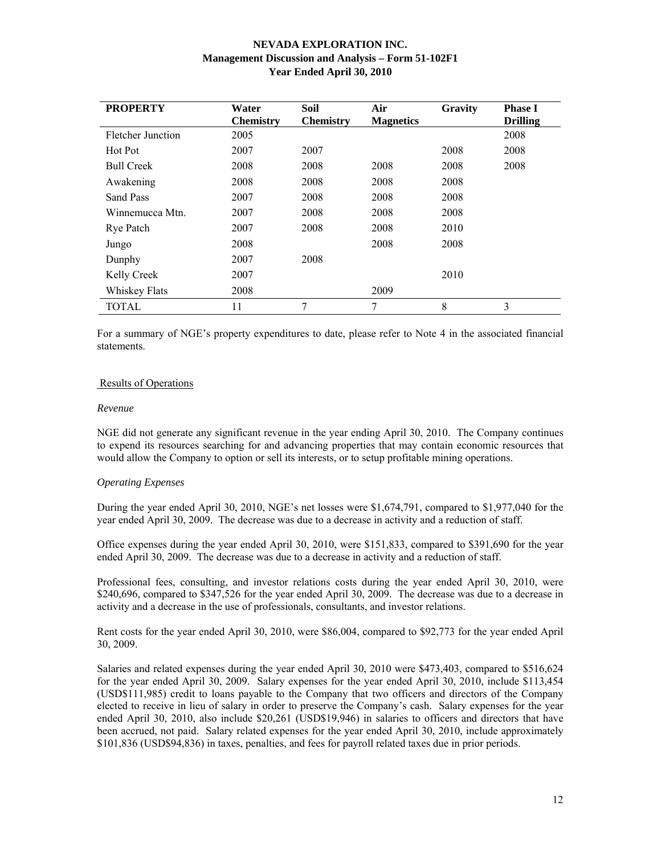| <b>PROPERTY</b>   | Water            | <b>Soil</b>      | Air              | Gravity | <b>Phase I</b>  |
|-------------------|------------------|------------------|------------------|---------|-----------------|
|                   | <b>Chemistry</b> | <b>Chemistry</b> | <b>Magnetics</b> |         | <b>Drilling</b> |
| Fletcher Junction | 2005             |                  |                  |         | 2008            |
| Hot Pot           | 2007             | 2007             |                  | 2008    | 2008            |
| <b>Bull Creek</b> | 2008             | 2008             | 2008             | 2008    | 2008            |
| Awakening         | 2008             | 2008             | 2008             | 2008    |                 |
| Sand Pass         | 2007             | 2008             | 2008             | 2008    |                 |
| Winnemucca Mtn.   | 2007             | 2008             | 2008             | 2008    |                 |
| Rye Patch         | 2007             | 2008             | 2008             | 2010    |                 |
| Jungo             | 2008             |                  | 2008             | 2008    |                 |
| Dunphy            | 2007             | 2008             |                  |         |                 |
| Kelly Creek       | 2007             |                  |                  | 2010    |                 |
| Whiskey Flats     | 2008             |                  | 2009             |         |                 |
| TOTAL             | 11               | 7                | 7                | 8       | 3               |

For a summary of NGE's property expenditures to date, please refer to Note 4 in the associated financial statements.

## Results of Operations

#### *Revenue*

NGE did not generate any significant revenue in the year ending April 30, 2010. The Company continues to expend its resources searching for and advancing properties that may contain economic resources that would allow the Company to option or sell its interests, or to setup profitable mining operations.

## *Operating Expenses*

During the year ended April 30, 2010, NGE's net losses were \$1,674,791, compared to \$1,977,040 for the year ended April 30, 2009. The decrease was due to a decrease in activity and a reduction of staff.

Office expenses during the year ended April 30, 2010, were \$151,833, compared to \$391,690 for the year ended April 30, 2009. The decrease was due to a decrease in activity and a reduction of staff.

Professional fees, consulting, and investor relations costs during the year ended April 30, 2010, were \$240,696, compared to \$347,526 for the year ended April 30, 2009. The decrease was due to a decrease in activity and a decrease in the use of professionals, consultants, and investor relations.

Rent costs for the year ended April 30, 2010, were \$86,004, compared to \$92,773 for the year ended April 30, 2009.

Salaries and related expenses during the year ended April 30, 2010 were \$473,403, compared to \$516,624 for the year ended April 30, 2009. Salary expenses for the year ended April 30, 2010, include \$113,454 (USD\$111,985) credit to loans payable to the Company that two officers and directors of the Company elected to receive in lieu of salary in order to preserve the Company's cash. Salary expenses for the year ended April 30, 2010, also include \$20,261 (USD\$19,946) in salaries to officers and directors that have been accrued, not paid. Salary related expenses for the year ended April 30, 2010, include approximately \$101,836 (USD\$94,836) in taxes, penalties, and fees for payroll related taxes due in prior periods.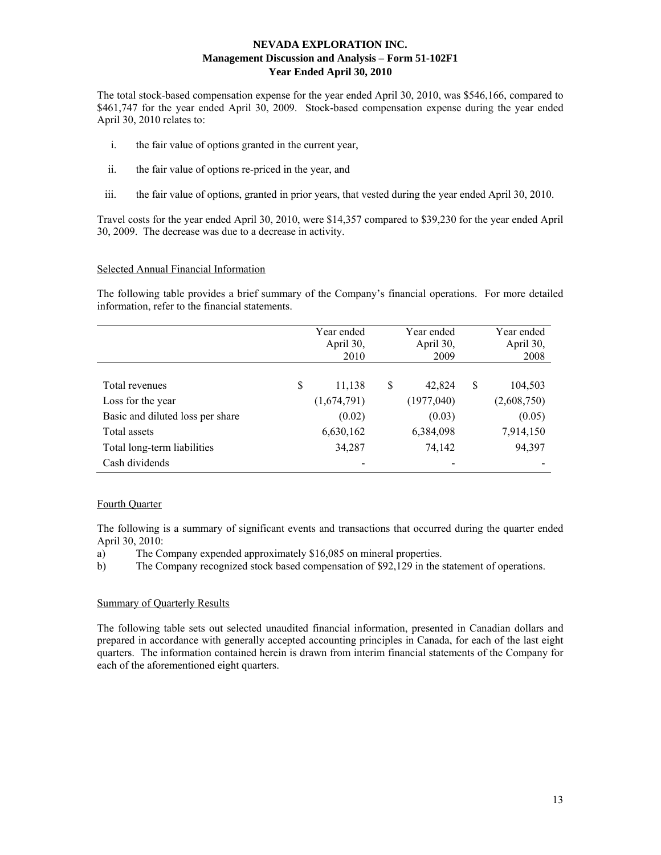The total stock-based compensation expense for the year ended April 30, 2010, was \$546,166, compared to \$461,747 for the year ended April 30, 2009. Stock-based compensation expense during the year ended April 30, 2010 relates to:

- i. the fair value of options granted in the current year,
- ii. the fair value of options re-priced in the year, and
- iii. the fair value of options, granted in prior years, that vested during the year ended April 30, 2010.

Travel costs for the year ended April 30, 2010, were \$14,357 compared to \$39,230 for the year ended April 30, 2009. The decrease was due to a decrease in activity.

## Selected Annual Financial Information

The following table provides a brief summary of the Company's financial operations. For more detailed information, refer to the financial statements.

|                                  | Year ended<br>April 30,<br>2010 | Year ended<br>April 30,<br>2009 |   | Year ended<br>April 30,<br>2008 |
|----------------------------------|---------------------------------|---------------------------------|---|---------------------------------|
| Total revenues                   | \$<br>11,138                    | \$<br>42,824                    | S | 104,503                         |
| Loss for the year                | (1,674,791)                     | (1977,040)                      |   | (2,608,750)                     |
| Basic and diluted loss per share | (0.02)                          | (0.03)                          |   | (0.05)                          |
| Total assets                     | 6,630,162                       | 6,384,098                       |   | 7,914,150                       |
| Total long-term liabilities      | 34,287                          | 74,142                          |   | 94,397                          |
| Cash dividends                   |                                 |                                 |   |                                 |

# Fourth Quarter

The following is a summary of significant events and transactions that occurred during the quarter ended April 30, 2010:

a) The Company expended approximately \$16,085 on mineral properties.

b) The Company recognized stock based compensation of \$92,129 in the statement of operations.

## Summary of Quarterly Results

The following table sets out selected unaudited financial information, presented in Canadian dollars and prepared in accordance with generally accepted accounting principles in Canada, for each of the last eight quarters. The information contained herein is drawn from interim financial statements of the Company for each of the aforementioned eight quarters.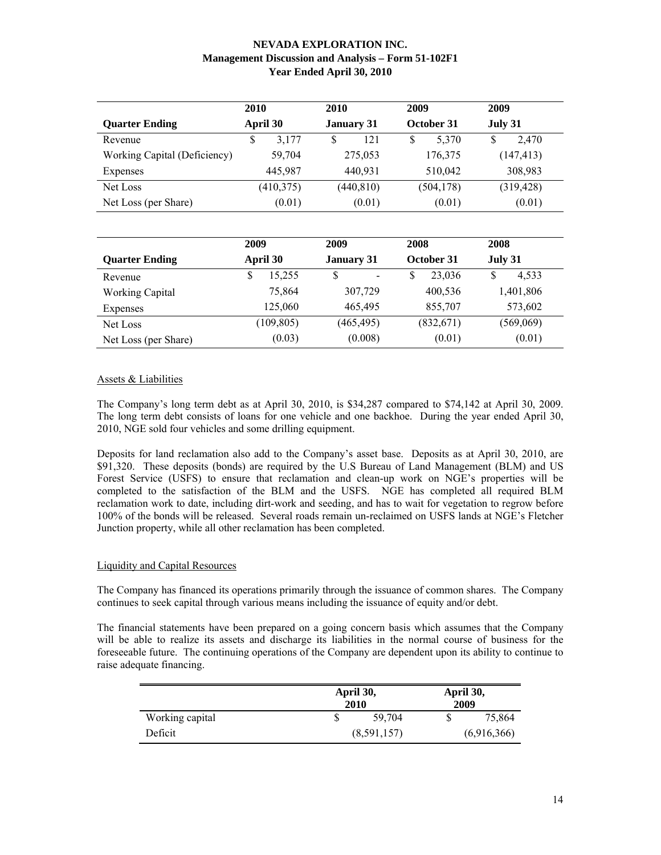|                              | 2010       | 2010              | 2009       | 2009        |
|------------------------------|------------|-------------------|------------|-------------|
| <b>Quarter Ending</b>        | April 30   | <b>January 31</b> | October 31 | July 31     |
| Revenue                      | 3,177<br>S | 121<br>S          | 5,370<br>S | \$<br>2.470 |
| Working Capital (Deficiency) | 59,704     | 275,053           | 176,375    | (147, 413)  |
| Expenses                     | 445,987    | 440,931           | 510,042    | 308,983     |
| Net Loss                     | (410, 375) | (440, 810)        | (504, 178) | (319, 428)  |
| Net Loss (per Share)         | (0.01)     | (0.01)            | (0.01)     | (0.01)      |

|                        | 2009        | 2009              | 2008         | 2008       |
|------------------------|-------------|-------------------|--------------|------------|
| <b>Quarter Ending</b>  | April 30    | <b>January 31</b> | October 31   | July 31    |
| Revenue                | S<br>15,255 | \$                | 23,036<br>\$ | 4,533<br>S |
| <b>Working Capital</b> | 75,864      | 307,729           | 400,536      | 1,401,806  |
| Expenses               | 125,060     | 465,495           | 855,707      | 573,602    |
| Net Loss               | (109, 805)  | (465, 495)        | (832, 671)   | (569,069)  |
| Net Loss (per Share)   | (0.03)      | (0.008)           | (0.01)       | (0.01)     |

# Assets & Liabilities

The Company's long term debt as at April 30, 2010, is \$34,287 compared to \$74,142 at April 30, 2009. The long term debt consists of loans for one vehicle and one backhoe. During the year ended April 30, 2010, NGE sold four vehicles and some drilling equipment.

Deposits for land reclamation also add to the Company's asset base. Deposits as at April 30, 2010, are \$91,320. These deposits (bonds) are required by the U.S Bureau of Land Management (BLM) and US Forest Service (USFS) to ensure that reclamation and clean-up work on NGE's properties will be completed to the satisfaction of the BLM and the USFS. NGE has completed all required BLM reclamation work to date, including dirt-work and seeding, and has to wait for vegetation to regrow before 100% of the bonds will be released. Several roads remain un-reclaimed on USFS lands at NGE's Fletcher Junction property, while all other reclamation has been completed.

# Liquidity and Capital Resources

The Company has financed its operations primarily through the issuance of common shares. The Company continues to seek capital through various means including the issuance of equity and/or debt.

The financial statements have been prepared on a going concern basis which assumes that the Company will be able to realize its assets and discharge its liabilities in the normal course of business for the foreseeable future. The continuing operations of the Company are dependent upon its ability to continue to raise adequate financing.

|                 |             | April 30,<br>2010 | April 30,<br>2009 |             |
|-----------------|-------------|-------------------|-------------------|-------------|
| Working capital |             | 59.704            |                   | 75,864      |
| Deficit         | (8,591,157) |                   |                   | (6,916,366) |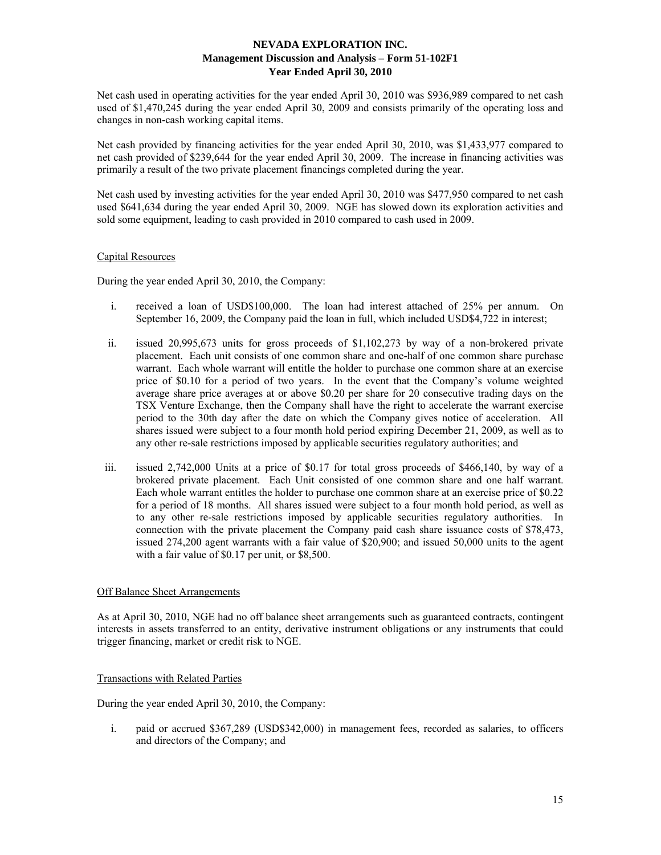Net cash used in operating activities for the year ended April 30, 2010 was \$936,989 compared to net cash used of \$1,470,245 during the year ended April 30, 2009 and consists primarily of the operating loss and changes in non-cash working capital items.

Net cash provided by financing activities for the year ended April 30, 2010, was \$1,433,977 compared to net cash provided of \$239,644 for the year ended April 30, 2009. The increase in financing activities was primarily a result of the two private placement financings completed during the year.

Net cash used by investing activities for the year ended April 30, 2010 was \$477,950 compared to net cash used \$641,634 during the year ended April 30, 2009. NGE has slowed down its exploration activities and sold some equipment, leading to cash provided in 2010 compared to cash used in 2009.

# Capital Resources

During the year ended April 30, 2010, the Company:

- i. received a loan of USD\$100,000. The loan had interest attached of 25% per annum. On September 16, 2009, the Company paid the loan in full, which included USD\$4,722 in interest;
- ii. issued 20,995,673 units for gross proceeds of \$1,102,273 by way of a non-brokered private placement. Each unit consists of one common share and one-half of one common share purchase warrant. Each whole warrant will entitle the holder to purchase one common share at an exercise price of \$0.10 for a period of two years. In the event that the Company's volume weighted average share price averages at or above \$0.20 per share for 20 consecutive trading days on the TSX Venture Exchange, then the Company shall have the right to accelerate the warrant exercise period to the 30th day after the date on which the Company gives notice of acceleration. All shares issued were subject to a four month hold period expiring December 21, 2009, as well as to any other re-sale restrictions imposed by applicable securities regulatory authorities; and
- iii. issued 2,742,000 Units at a price of \$0.17 for total gross proceeds of \$466,140, by way of a brokered private placement. Each Unit consisted of one common share and one half warrant. Each whole warrant entitles the holder to purchase one common share at an exercise price of \$0.22 for a period of 18 months. All shares issued were subject to a four month hold period, as well as to any other re-sale restrictions imposed by applicable securities regulatory authorities. In connection with the private placement the Company paid cash share issuance costs of \$78,473, issued 274,200 agent warrants with a fair value of \$20,900; and issued 50,000 units to the agent with a fair value of \$0.17 per unit, or \$8,500.

# Off Balance Sheet Arrangements

As at April 30, 2010, NGE had no off balance sheet arrangements such as guaranteed contracts, contingent interests in assets transferred to an entity, derivative instrument obligations or any instruments that could trigger financing, market or credit risk to NGE.

### Transactions with Related Parties

During the year ended April 30, 2010, the Company:

i. paid or accrued \$367,289 (USD\$342,000) in management fees, recorded as salaries, to officers and directors of the Company; and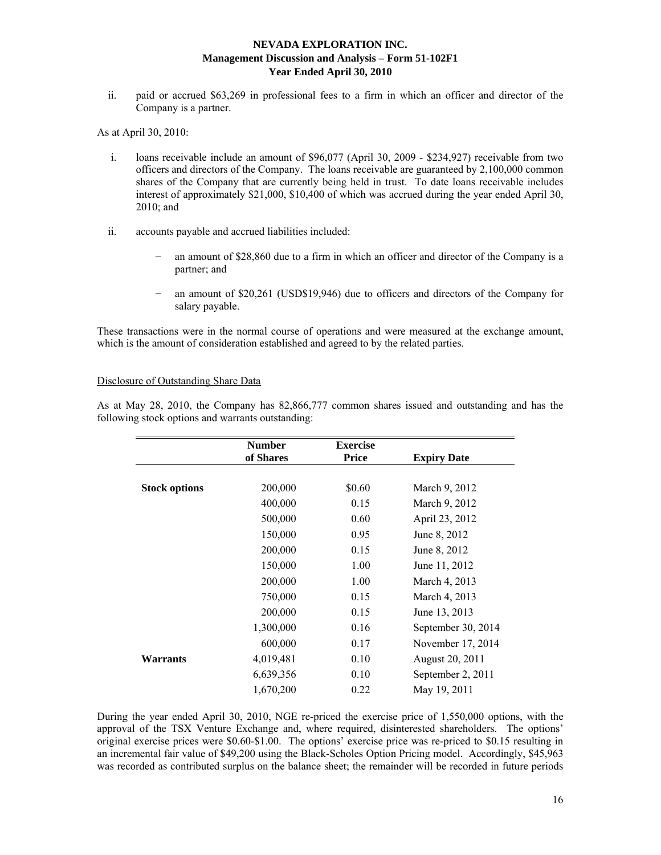ii. paid or accrued \$63,269 in professional fees to a firm in which an officer and director of the Company is a partner.

As at April 30, 2010:

- i. loans receivable include an amount of \$96,077 (April 30, 2009 \$234,927) receivable from two officers and directors of the Company. The loans receivable are guaranteed by 2,100,000 common shares of the Company that are currently being held in trust. To date loans receivable includes interest of approximately \$21,000, \$10,400 of which was accrued during the year ended April 30, 2010; and
- ii. accounts payable and accrued liabilities included:
	- an amount of \$28,860 due to a firm in which an officer and director of the Company is a partner; and
	- an amount of \$20,261 (USD\$19,946) due to officers and directors of the Company for salary payable.

These transactions were in the normal course of operations and were measured at the exchange amount, which is the amount of consideration established and agreed to by the related parties.

## Disclosure of Outstanding Share Data

As at May 28, 2010, the Company has 82,866,777 common shares issued and outstanding and has the following stock options and warrants outstanding:

|                      | <b>Number</b> | <b>Exercise</b> |                    |
|----------------------|---------------|-----------------|--------------------|
|                      | of Shares     | <b>Price</b>    | <b>Expiry Date</b> |
|                      |               |                 |                    |
| <b>Stock options</b> | 200,000       | \$0.60          | March 9, 2012      |
|                      | 400,000       | 0.15            | March 9, 2012      |
|                      | 500,000       | 0.60            | April 23, 2012     |
|                      | 150,000       | 0.95            | June 8, 2012       |
|                      | 200,000       | 0.15            | June 8, 2012       |
|                      | 150,000       | 1.00            | June 11, 2012      |
|                      | 200,000       | 1.00            | March 4, 2013      |
|                      | 750,000       | 0.15            | March 4, 2013      |
|                      | 200,000       | 0.15            | June 13, 2013      |
|                      | 1,300,000     | 0.16            | September 30, 2014 |
|                      | 600,000       | 0.17            | November 17, 2014  |
| Warrants             | 4,019,481     | 0.10            | August 20, 2011    |
|                      | 6,639,356     | 0.10            | September 2, 2011  |
|                      | 1,670,200     | 0.22            | May 19, 2011       |

During the year ended April 30, 2010, NGE re-priced the exercise price of 1,550,000 options, with the approval of the TSX Venture Exchange and, where required, disinterested shareholders. The options' original exercise prices were \$0.60-\$1.00. The options' exercise price was re-priced to \$0.15 resulting in an incremental fair value of \$49,200 using the Black-Scholes Option Pricing model. Accordingly, \$45,963 was recorded as contributed surplus on the balance sheet; the remainder will be recorded in future periods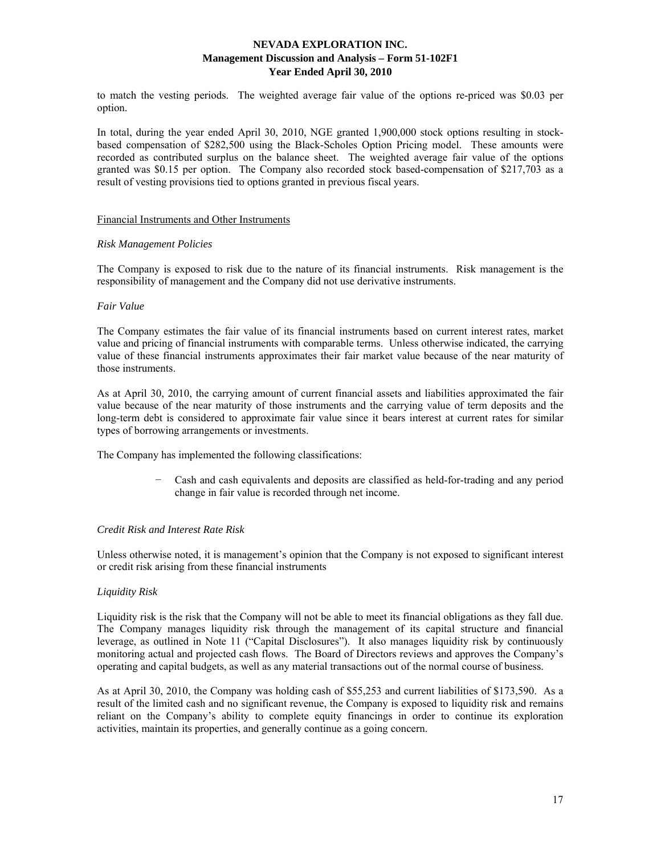to match the vesting periods. The weighted average fair value of the options re-priced was \$0.03 per option.

In total, during the year ended April 30, 2010, NGE granted 1,900,000 stock options resulting in stockbased compensation of \$282,500 using the Black-Scholes Option Pricing model. These amounts were recorded as contributed surplus on the balance sheet. The weighted average fair value of the options granted was \$0.15 per option. The Company also recorded stock based-compensation of \$217,703 as a result of vesting provisions tied to options granted in previous fiscal years.

#### Financial Instruments and Other Instruments

## *Risk Management Policies*

The Company is exposed to risk due to the nature of its financial instruments. Risk management is the responsibility of management and the Company did not use derivative instruments.

## *Fair Value*

The Company estimates the fair value of its financial instruments based on current interest rates, market value and pricing of financial instruments with comparable terms. Unless otherwise indicated, the carrying value of these financial instruments approximates their fair market value because of the near maturity of those instruments.

As at April 30, 2010, the carrying amount of current financial assets and liabilities approximated the fair value because of the near maturity of those instruments and the carrying value of term deposits and the long-term debt is considered to approximate fair value since it bears interest at current rates for similar types of borrowing arrangements or investments.

The Company has implemented the following classifications:

− Cash and cash equivalents and deposits are classified as held-for-trading and any period change in fair value is recorded through net income.

# *Credit Risk and Interest Rate Risk*

Unless otherwise noted, it is management's opinion that the Company is not exposed to significant interest or credit risk arising from these financial instruments

# *Liquidity Risk*

Liquidity risk is the risk that the Company will not be able to meet its financial obligations as they fall due. The Company manages liquidity risk through the management of its capital structure and financial leverage, as outlined in Note 11 ("Capital Disclosures"). It also manages liquidity risk by continuously monitoring actual and projected cash flows. The Board of Directors reviews and approves the Company's operating and capital budgets, as well as any material transactions out of the normal course of business.

As at April 30, 2010, the Company was holding cash of \$55,253 and current liabilities of \$173,590. As a result of the limited cash and no significant revenue, the Company is exposed to liquidity risk and remains reliant on the Company's ability to complete equity financings in order to continue its exploration activities, maintain its properties, and generally continue as a going concern.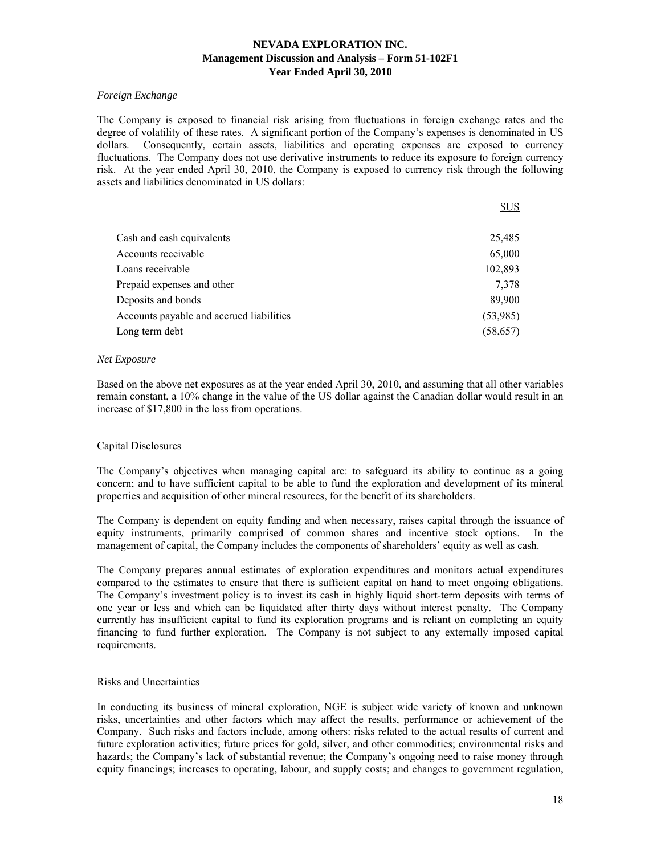# *Foreign Exchange*

The Company is exposed to financial risk arising from fluctuations in foreign exchange rates and the degree of volatility of these rates. A significant portion of the Company's expenses is denominated in US dollars. Consequently, certain assets, liabilities and operating expenses are exposed to currency fluctuations. The Company does not use derivative instruments to reduce its exposure to foreign currency risk. At the year ended April 30, 2010, the Company is exposed to currency risk through the following assets and liabilities denominated in US dollars:

|                                          | <b>SUS</b> |
|------------------------------------------|------------|
|                                          |            |
| Cash and cash equivalents                | 25,485     |
| Accounts receivable                      | 65,000     |
| Loans receivable                         | 102,893    |
| Prepaid expenses and other               | 7,378      |
| Deposits and bonds                       | 89,900     |
| Accounts payable and accrued liabilities | (53,985)   |
| Long term debt                           | (58, 657)  |

## *Net Exposure*

Based on the above net exposures as at the year ended April 30, 2010, and assuming that all other variables remain constant, a 10% change in the value of the US dollar against the Canadian dollar would result in an increase of \$17,800 in the loss from operations.

# Capital Disclosures

The Company's objectives when managing capital are: to safeguard its ability to continue as a going concern; and to have sufficient capital to be able to fund the exploration and development of its mineral properties and acquisition of other mineral resources, for the benefit of its shareholders.

The Company is dependent on equity funding and when necessary, raises capital through the issuance of equity instruments, primarily comprised of common shares and incentive stock options. In the management of capital, the Company includes the components of shareholders' equity as well as cash.

The Company prepares annual estimates of exploration expenditures and monitors actual expenditures compared to the estimates to ensure that there is sufficient capital on hand to meet ongoing obligations. The Company's investment policy is to invest its cash in highly liquid short-term deposits with terms of one year or less and which can be liquidated after thirty days without interest penalty. The Company currently has insufficient capital to fund its exploration programs and is reliant on completing an equity financing to fund further exploration. The Company is not subject to any externally imposed capital requirements.

## Risks and Uncertainties

In conducting its business of mineral exploration, NGE is subject wide variety of known and unknown risks, uncertainties and other factors which may affect the results, performance or achievement of the Company. Such risks and factors include, among others: risks related to the actual results of current and future exploration activities; future prices for gold, silver, and other commodities; environmental risks and hazards; the Company's lack of substantial revenue; the Company's ongoing need to raise money through equity financings; increases to operating, labour, and supply costs; and changes to government regulation,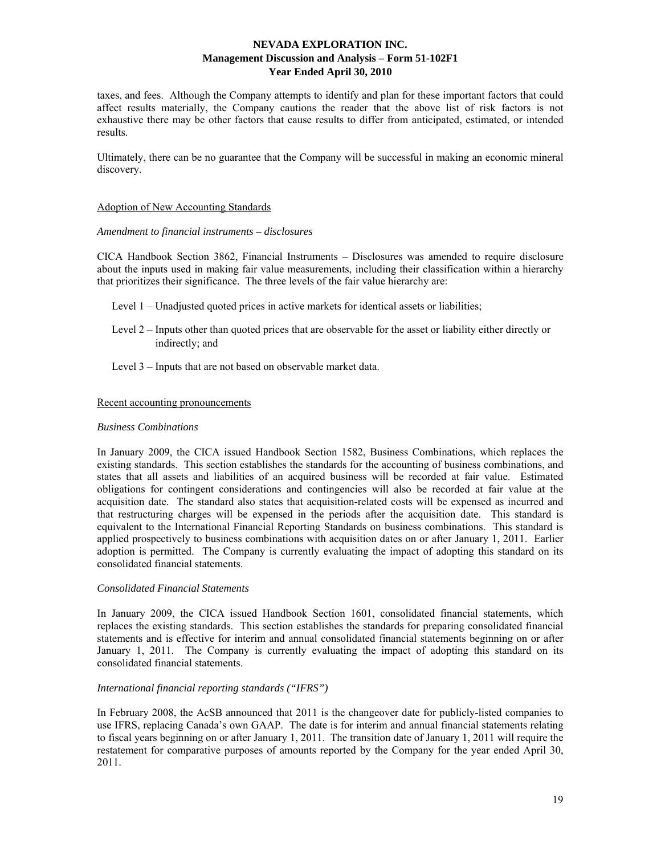taxes, and fees. Although the Company attempts to identify and plan for these important factors that could affect results materially, the Company cautions the reader that the above list of risk factors is not exhaustive there may be other factors that cause results to differ from anticipated, estimated, or intended results.

Ultimately, there can be no guarantee that the Company will be successful in making an economic mineral discovery.

## Adoption of New Accounting Standards

## *Amendment to financial instruments – disclosures*

CICA Handbook Section 3862, Financial Instruments – Disclosures was amended to require disclosure about the inputs used in making fair value measurements, including their classification within a hierarchy that prioritizes their significance. The three levels of the fair value hierarchy are:

- Level 1 Unadjusted quoted prices in active markets for identical assets or liabilities;
- Level 2 Inputs other than quoted prices that are observable for the asset or liability either directly or indirectly; and
- Level 3 Inputs that are not based on observable market data.

#### Recent accounting pronouncements

#### *Business Combinations*

In January 2009, the CICA issued Handbook Section 1582, Business Combinations, which replaces the existing standards. This section establishes the standards for the accounting of business combinations, and states that all assets and liabilities of an acquired business will be recorded at fair value. Estimated obligations for contingent considerations and contingencies will also be recorded at fair value at the acquisition date. The standard also states that acquisition-related costs will be expensed as incurred and that restructuring charges will be expensed in the periods after the acquisition date. This standard is equivalent to the International Financial Reporting Standards on business combinations. This standard is applied prospectively to business combinations with acquisition dates on or after January 1, 2011. Earlier adoption is permitted. The Company is currently evaluating the impact of adopting this standard on its consolidated financial statements.

## *Consolidated Financial Statements*

In January 2009, the CICA issued Handbook Section 1601, consolidated financial statements, which replaces the existing standards. This section establishes the standards for preparing consolidated financial statements and is effective for interim and annual consolidated financial statements beginning on or after January 1, 2011. The Company is currently evaluating the impact of adopting this standard on its consolidated financial statements.

#### *International financial reporting standards ("IFRS")*

In February 2008, the AcSB announced that 2011 is the changeover date for publicly-listed companies to use IFRS, replacing Canada's own GAAP. The date is for interim and annual financial statements relating to fiscal years beginning on or after January 1, 2011. The transition date of January 1, 2011 will require the restatement for comparative purposes of amounts reported by the Company for the year ended April 30, 2011.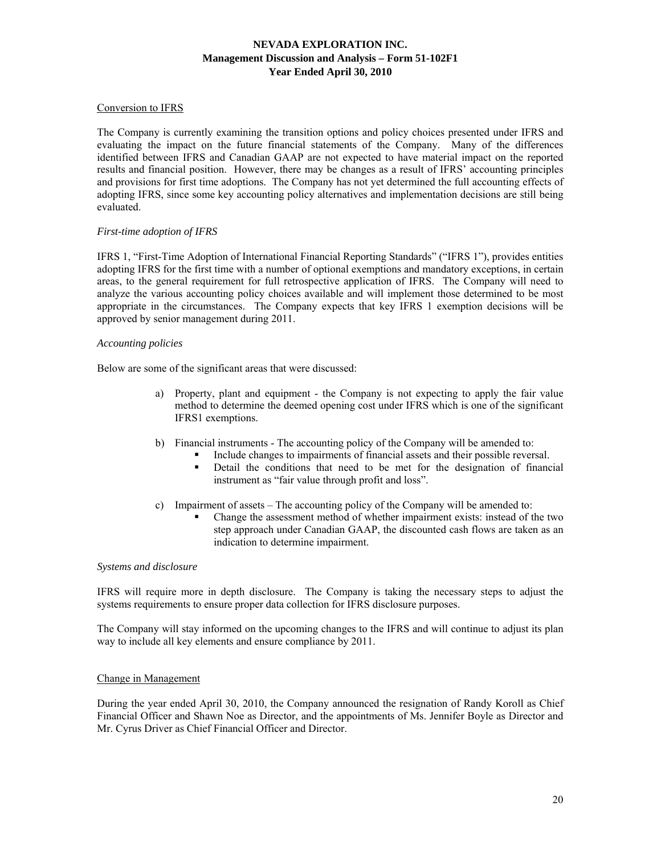# Conversion to IFRS

The Company is currently examining the transition options and policy choices presented under IFRS and evaluating the impact on the future financial statements of the Company. Many of the differences identified between IFRS and Canadian GAAP are not expected to have material impact on the reported results and financial position. However, there may be changes as a result of IFRS' accounting principles and provisions for first time adoptions. The Company has not yet determined the full accounting effects of adopting IFRS, since some key accounting policy alternatives and implementation decisions are still being evaluated.

# *First-time adoption of IFRS*

IFRS 1, "First-Time Adoption of International Financial Reporting Standards" ("IFRS 1"), provides entities adopting IFRS for the first time with a number of optional exemptions and mandatory exceptions, in certain areas, to the general requirement for full retrospective application of IFRS. The Company will need to analyze the various accounting policy choices available and will implement those determined to be most appropriate in the circumstances. The Company expects that key IFRS 1 exemption decisions will be approved by senior management during 2011.

#### *Accounting policies*

Below are some of the significant areas that were discussed:

- a) Property, plant and equipment the Company is not expecting to apply the fair value method to determine the deemed opening cost under IFRS which is one of the significant IFRS1 exemptions.
- b) Financial instruments The accounting policy of the Company will be amended to:
	- Include changes to impairments of financial assets and their possible reversal.
	- Detail the conditions that need to be met for the designation of financial instrument as "fair value through profit and loss".
- c) Impairment of assets The accounting policy of the Company will be amended to:
	- Change the assessment method of whether impairment exists: instead of the two step approach under Canadian GAAP, the discounted cash flows are taken as an indication to determine impairment.

#### *Systems and disclosure*

IFRS will require more in depth disclosure. The Company is taking the necessary steps to adjust the systems requirements to ensure proper data collection for IFRS disclosure purposes.

The Company will stay informed on the upcoming changes to the IFRS and will continue to adjust its plan way to include all key elements and ensure compliance by 2011.

#### Change in Management

During the year ended April 30, 2010, the Company announced the resignation of Randy Koroll as Chief Financial Officer and Shawn Noe as Director, and the appointments of Ms. Jennifer Boyle as Director and Mr. Cyrus Driver as Chief Financial Officer and Director.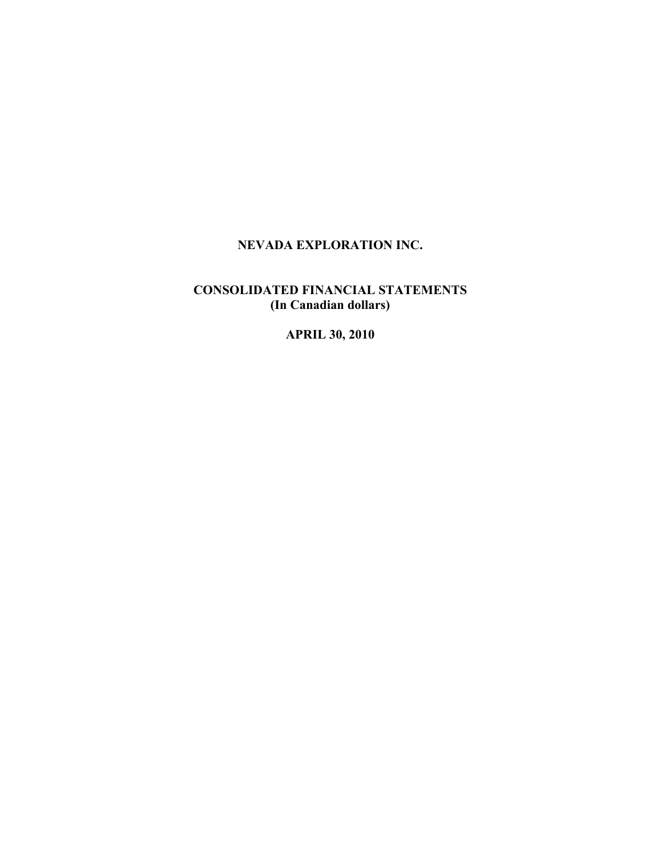# **NEVADA EXPLORATION INC.**

# **CONSOLIDATED FINANCIAL STATEMENTS (In Canadian dollars)**

**APRIL 30, 2010**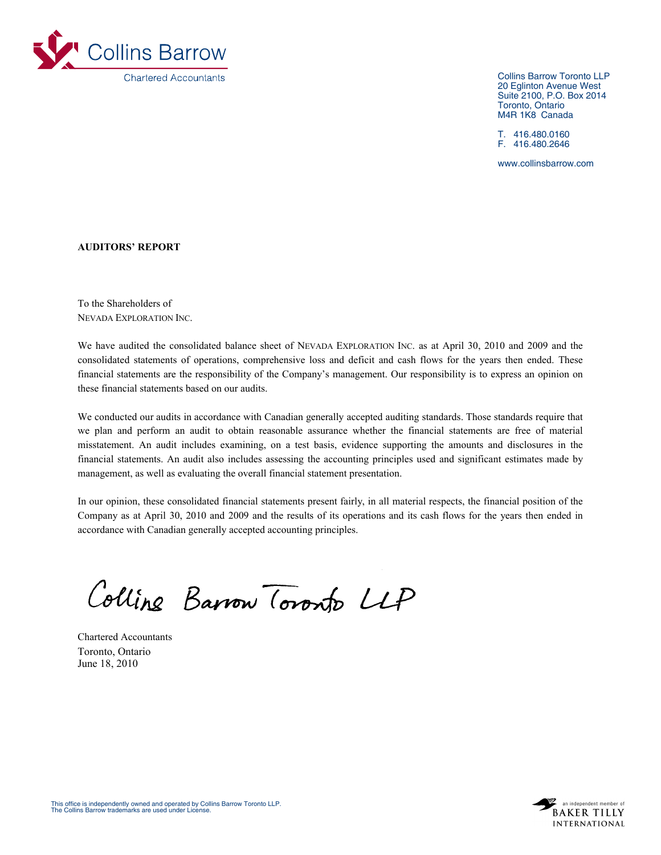

Collins Barrow Toronto LLP 20 Eglinton Avenue West Suite 2100, P.O. Box 2014 Toronto, Ontario M4R 1K8 Canada

T. 416.480.0160 F. 416.480.2646

www.collinsbarrow.com

## **AUDITORS' REPORT**

To the Shareholders of NEVADA EXPLORATION INC.

We have audited the consolidated balance sheet of NEVADA EXPLORATION INC. as at April 30, 2010 and 2009 and the consolidated statements of operations, comprehensive loss and deficit and cash flows for the years then ended. These financial statements are the responsibility of the Company's management. Our responsibility is to express an opinion on these financial statements based on our audits.

We conducted our audits in accordance with Canadian generally accepted auditing standards. Those standards require that we plan and perform an audit to obtain reasonable assurance whether the financial statements are free of material misstatement. An audit includes examining, on a test basis, evidence supporting the amounts and disclosures in the financial statements. An audit also includes assessing the accounting principles used and significant estimates made by management, as well as evaluating the overall financial statement presentation.

In our opinion, these consolidated financial statements present fairly, in all material respects, the financial position of the Company as at April 30, 2010 and 2009 and the results of its operations and its cash flows for the years then ended in accordance with Canadian generally accepted accounting principles.

Colline Barrow Toronto LLP

Chartered Accountants Toronto, Ontario June 18, 2010

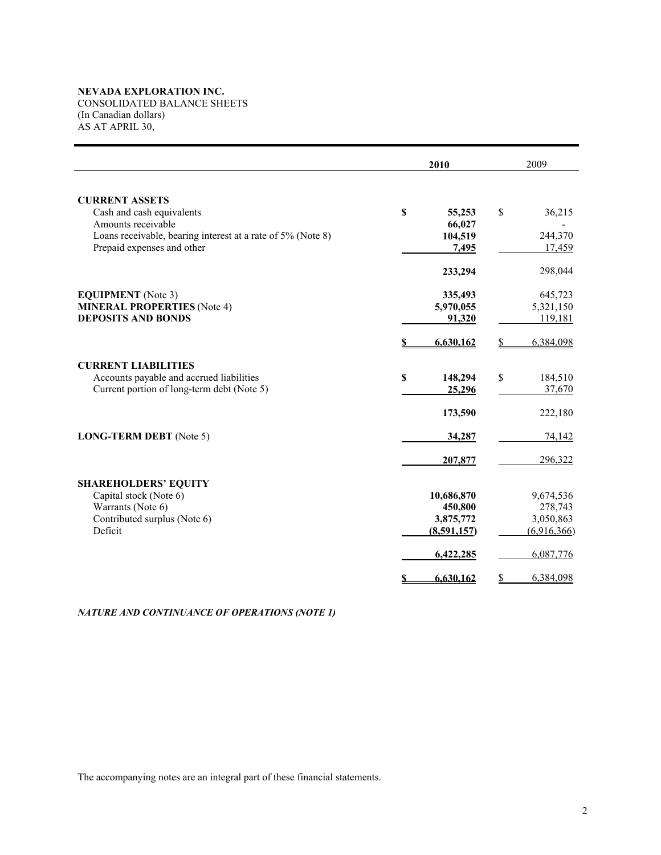# **NEVADA EXPLORATION INC.**

CONSOLIDATED BALANCE SHEETS (In Canadian dollars) AS AT APRIL 30,

|                                                             | 2010                  | 2009            |
|-------------------------------------------------------------|-----------------------|-----------------|
| <b>CURRENT ASSETS</b>                                       |                       |                 |
| Cash and cash equivalents                                   | $\mathbf S$<br>55,253 | \$<br>36,215    |
| Amounts receivable                                          | 66,027                |                 |
| Loans receivable, bearing interest at a rate of 5% (Note 8) | 104,519               | 244,370         |
| Prepaid expenses and other                                  | 7,495                 | 17,459          |
|                                                             | 233,294               | 298,044         |
| <b>EQUIPMENT</b> (Note 3)                                   | 335,493               | 645,723         |
| <b>MINERAL PROPERTIES (Note 4)</b>                          | 5,970,055             | 5,321,150       |
| <b>DEPOSITS AND BONDS</b>                                   | 91,320                | 119,181         |
|                                                             | 6,630,162             | \$<br>6,384,098 |
| <b>CURRENT LIABILITIES</b>                                  |                       |                 |
| Accounts payable and accrued liabilities                    | S<br>148,294          | \$<br>184,510   |
| Current portion of long-term debt (Note 5)                  | 25,296                | 37,670          |
|                                                             | 173,590               | 222,180         |
| LONG-TERM DEBT (Note 5)                                     | 34,287                | 74,142          |
|                                                             | 207,877               | 296,322         |
| <b>SHAREHOLDERS' EQUITY</b>                                 |                       |                 |
| Capital stock (Note 6)                                      | 10,686,870            | 9,674,536       |
| Warrants (Note 6)                                           | 450,800               | 278,743         |
| Contributed surplus (Note 6)                                | 3,875,772             | 3,050,863       |
| Deficit                                                     | (8,591,157)           | (6,916,366)     |
|                                                             | 6,422,285             | 6,087,776       |
|                                                             | 6,630,162<br>S        | 6,384,098<br>\$ |

# *NATURE AND CONTINUANCE OF OPERATIONS (NOTE 1)*

The accompanying notes are an integral part of these financial statements.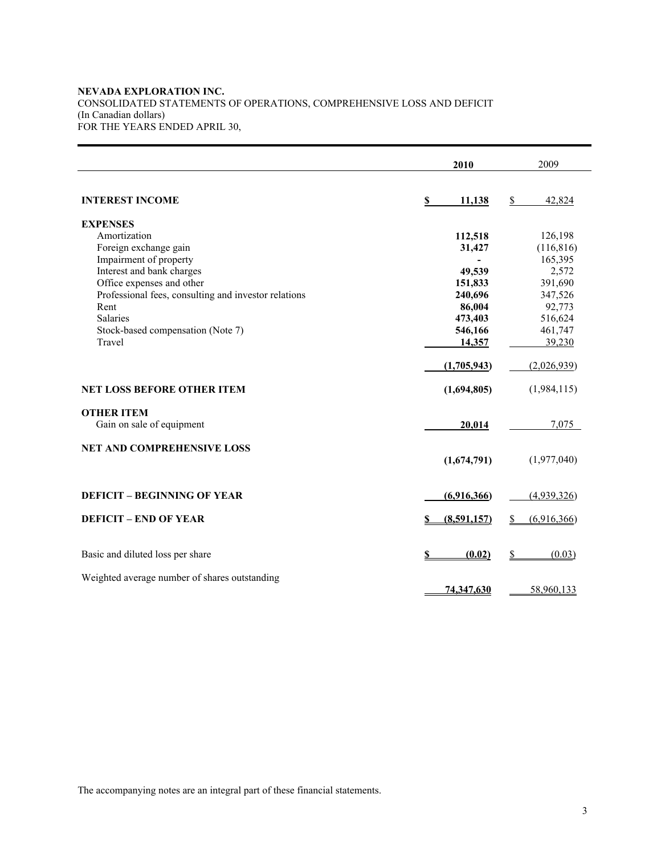## **NEVADA EXPLORATION INC.** CONSOLIDATED STATEMENTS OF OPERATIONS, COMPREHENSIVE LOSS AND DEFICIT (In Canadian dollars) FOR THE YEARS ENDED APRIL 30,

|                                                      | 2010         | 2009             |
|------------------------------------------------------|--------------|------------------|
| <b>INTEREST INCOME</b>                               | 11,138<br>\$ | \$<br>42,824     |
| <b>EXPENSES</b>                                      |              |                  |
| Amortization                                         | 112,518      | 126,198          |
| Foreign exchange gain                                | 31,427       | (116, 816)       |
| Impairment of property                               | ۰            | 165,395          |
| Interest and bank charges                            | 49,539       | 2,572            |
| Office expenses and other                            | 151,833      | 391,690          |
| Professional fees, consulting and investor relations | 240,696      | 347,526          |
| Rent                                                 | 86,004       | 92,773           |
| <b>Salaries</b>                                      | 473,403      | 516,624          |
| Stock-based compensation (Note 7)                    | 546,166      | 461,747          |
| Travel                                               | 14,357       | 39,230           |
|                                                      |              |                  |
|                                                      | (1,705,943)  | (2,026,939)      |
| <b>NET LOSS BEFORE OTHER ITEM</b>                    | (1,694,805)  | (1,984,115)      |
| <b>OTHER ITEM</b>                                    |              |                  |
| Gain on sale of equipment                            | 20,014       | 7,075            |
|                                                      |              |                  |
| <b>NET AND COMPREHENSIVE LOSS</b>                    |              |                  |
|                                                      | (1,674,791)  | (1,977,040)      |
|                                                      |              |                  |
| <b>DEFICIT - BEGINNING OF YEAR</b>                   | (6,916,366)  | (4,939,326)      |
|                                                      |              |                  |
| <b>DEFICIT – END OF YEAR</b>                         | (8,591,157)  | (6,916,366)<br>S |
|                                                      |              |                  |
| Basic and diluted loss per share                     | (0.02)       | (0.03)           |
|                                                      |              |                  |
| Weighted average number of shares outstanding        |              |                  |
|                                                      | 74,347,630   | 58,960,133       |

The accompanying notes are an integral part of these financial statements.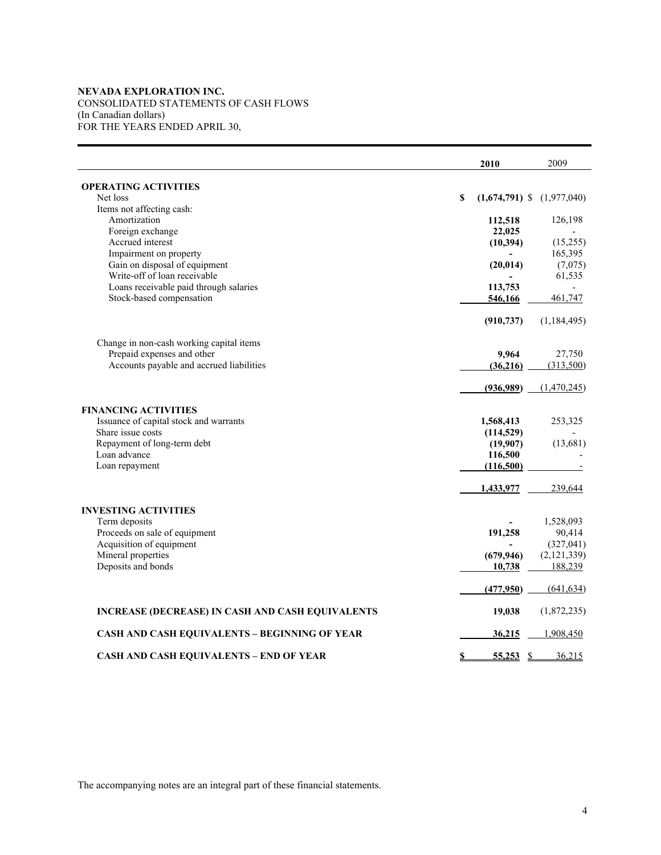## **NEVADA EXPLORATION INC.** CONSOLIDATED STATEMENTS OF CASH FLOWS (In Canadian dollars) FOR THE YEARS ENDED APRIL 30,

|                                                  |   | 2010                             | 2009          |
|--------------------------------------------------|---|----------------------------------|---------------|
| <b>OPERATING ACTIVITIES</b>                      |   |                                  |               |
| Net loss                                         | S | $(1,674,791)$ \$                 | (1,977,040)   |
| Items not affecting cash:                        |   |                                  |               |
| Amortization                                     |   | 112,518                          | 126,198       |
| Foreign exchange                                 |   | 22,025                           |               |
| Accrued interest                                 |   | (10,394)                         | (15,255)      |
| Impairment on property                           |   |                                  | 165,395       |
| Gain on disposal of equipment                    |   | (20, 014)                        | (7,075)       |
| Write-off of loan receivable                     |   |                                  | 61,535        |
| Loans receivable paid through salaries           |   | 113,753                          |               |
| Stock-based compensation                         |   | 546,166                          | 461,747       |
|                                                  |   | (910, 737)                       | (1,184,495)   |
| Change in non-cash working capital items         |   |                                  |               |
| Prepaid expenses and other                       |   | 9,964                            | 27,750        |
| Accounts payable and accrued liabilities         |   | (36,216)                         | (313,500)     |
|                                                  |   | (936,989)                        | (1,470,245)   |
| <b>FINANCING ACTIVITIES</b>                      |   |                                  |               |
| Issuance of capital stock and warrants           |   | 1,568,413                        | 253,325       |
| Share issue costs                                |   | (114, 529)                       |               |
| Repayment of long-term debt                      |   | (19,907)                         | (13,681)      |
| Loan advance                                     |   | 116,500                          |               |
| Loan repayment                                   |   | (116,500)                        |               |
|                                                  |   | 1,433,977                        | 239,644       |
| <b>INVESTING ACTIVITIES</b>                      |   |                                  |               |
| Term deposits                                    |   |                                  | 1,528,093     |
| Proceeds on sale of equipment                    |   | 191,258                          | 90,414        |
| Acquisition of equipment                         |   |                                  | (327, 041)    |
| Mineral properties                               |   | (679, 946)                       | (2, 121, 339) |
| Deposits and bonds                               |   | 10,738                           | 188,239       |
|                                                  |   | (477,950)                        | (641, 634)    |
| INCREASE (DECREASE) IN CASH AND CASH EQUIVALENTS |   | 19,038                           | (1,872,235)   |
| CASH AND CASH EQUIVALENTS - BEGINNING OF YEAR    |   | 36,215                           | 1,908,450     |
| <b>CASH AND CASH EQUIVALENTS - END OF YEAR</b>   | S | 55,253<br>$\mathbf{\mathcal{S}}$ | 36,215        |

The accompanying notes are an integral part of these financial statements.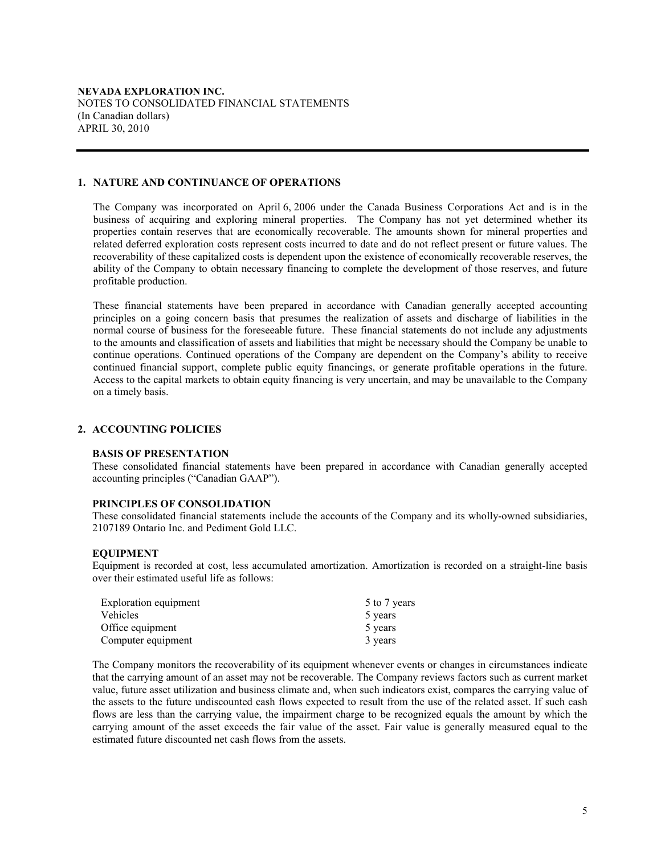#### **1. NATURE AND CONTINUANCE OF OPERATIONS**

The Company was incorporated on April 6, 2006 under the Canada Business Corporations Act and is in the business of acquiring and exploring mineral properties. The Company has not yet determined whether its properties contain reserves that are economically recoverable. The amounts shown for mineral properties and related deferred exploration costs represent costs incurred to date and do not reflect present or future values. The recoverability of these capitalized costs is dependent upon the existence of economically recoverable reserves, the ability of the Company to obtain necessary financing to complete the development of those reserves, and future profitable production.

These financial statements have been prepared in accordance with Canadian generally accepted accounting principles on a going concern basis that presumes the realization of assets and discharge of liabilities in the normal course of business for the foreseeable future. These financial statements do not include any adjustments to the amounts and classification of assets and liabilities that might be necessary should the Company be unable to continue operations. Continued operations of the Company are dependent on the Company's ability to receive continued financial support, complete public equity financings, or generate profitable operations in the future. Access to the capital markets to obtain equity financing is very uncertain, and may be unavailable to the Company on a timely basis.

## **2. ACCOUNTING POLICIES**

#### **BASIS OF PRESENTATION**

These consolidated financial statements have been prepared in accordance with Canadian generally accepted accounting principles ("Canadian GAAP").

#### **PRINCIPLES OF CONSOLIDATION**

These consolidated financial statements include the accounts of the Company and its wholly-owned subsidiaries, 2107189 Ontario Inc. and Pediment Gold LLC.

#### **EQUIPMENT**

Equipment is recorded at cost, less accumulated amortization. Amortization is recorded on a straight-line basis over their estimated useful life as follows:

| Exploration equipment | 5 to 7 years |
|-----------------------|--------------|
| <b>Vehicles</b>       | 5 years      |
| Office equipment      | 5 years      |
| Computer equipment    | 3 years      |

The Company monitors the recoverability of its equipment whenever events or changes in circumstances indicate that the carrying amount of an asset may not be recoverable. The Company reviews factors such as current market value, future asset utilization and business climate and, when such indicators exist, compares the carrying value of the assets to the future undiscounted cash flows expected to result from the use of the related asset. If such cash flows are less than the carrying value, the impairment charge to be recognized equals the amount by which the carrying amount of the asset exceeds the fair value of the asset. Fair value is generally measured equal to the estimated future discounted net cash flows from the assets.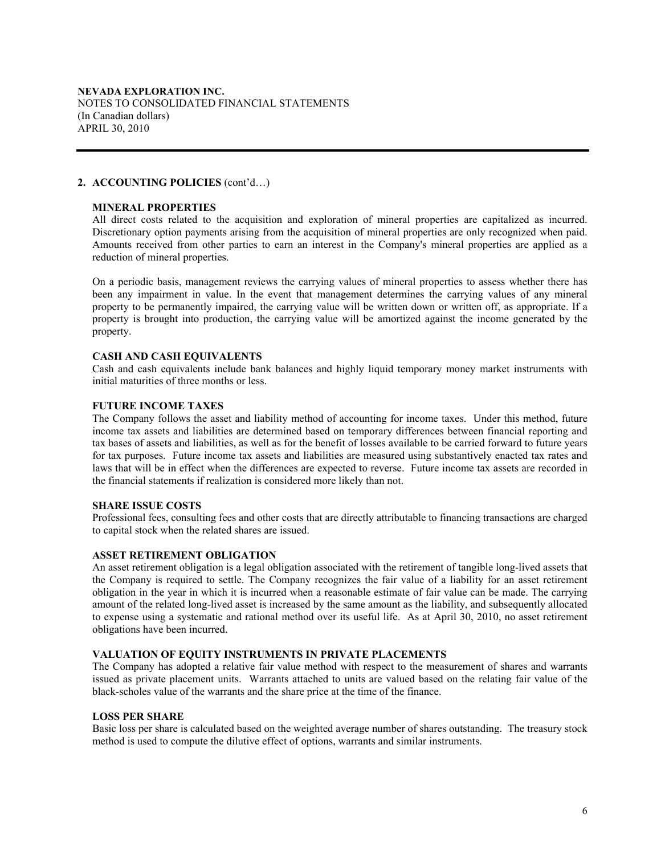## **MINERAL PROPERTIES**

All direct costs related to the acquisition and exploration of mineral properties are capitalized as incurred. Discretionary option payments arising from the acquisition of mineral properties are only recognized when paid. Amounts received from other parties to earn an interest in the Company's mineral properties are applied as a reduction of mineral properties.

On a periodic basis, management reviews the carrying values of mineral properties to assess whether there has been any impairment in value. In the event that management determines the carrying values of any mineral property to be permanently impaired, the carrying value will be written down or written off, as appropriate. If a property is brought into production, the carrying value will be amortized against the income generated by the property.

## **CASH AND CASH EQUIVALENTS**

Cash and cash equivalents include bank balances and highly liquid temporary money market instruments with initial maturities of three months or less.

## **FUTURE INCOME TAXES**

The Company follows the asset and liability method of accounting for income taxes. Under this method, future income tax assets and liabilities are determined based on temporary differences between financial reporting and tax bases of assets and liabilities, as well as for the benefit of losses available to be carried forward to future years for tax purposes. Future income tax assets and liabilities are measured using substantively enacted tax rates and laws that will be in effect when the differences are expected to reverse. Future income tax assets are recorded in the financial statements if realization is considered more likely than not.

## **SHARE ISSUE COSTS**

Professional fees, consulting fees and other costs that are directly attributable to financing transactions are charged to capital stock when the related shares are issued.

# **ASSET RETIREMENT OBLIGATION**

An asset retirement obligation is a legal obligation associated with the retirement of tangible long-lived assets that the Company is required to settle. The Company recognizes the fair value of a liability for an asset retirement obligation in the year in which it is incurred when a reasonable estimate of fair value can be made. The carrying amount of the related long-lived asset is increased by the same amount as the liability, and subsequently allocated to expense using a systematic and rational method over its useful life. As at April 30, 2010, no asset retirement obligations have been incurred.

# **VALUATION OF EQUITY INSTRUMENTS IN PRIVATE PLACEMENTS**

The Company has adopted a relative fair value method with respect to the measurement of shares and warrants issued as private placement units. Warrants attached to units are valued based on the relating fair value of the black-scholes value of the warrants and the share price at the time of the finance.

#### **LOSS PER SHARE**

Basic loss per share is calculated based on the weighted average number of shares outstanding. The treasury stock method is used to compute the dilutive effect of options, warrants and similar instruments.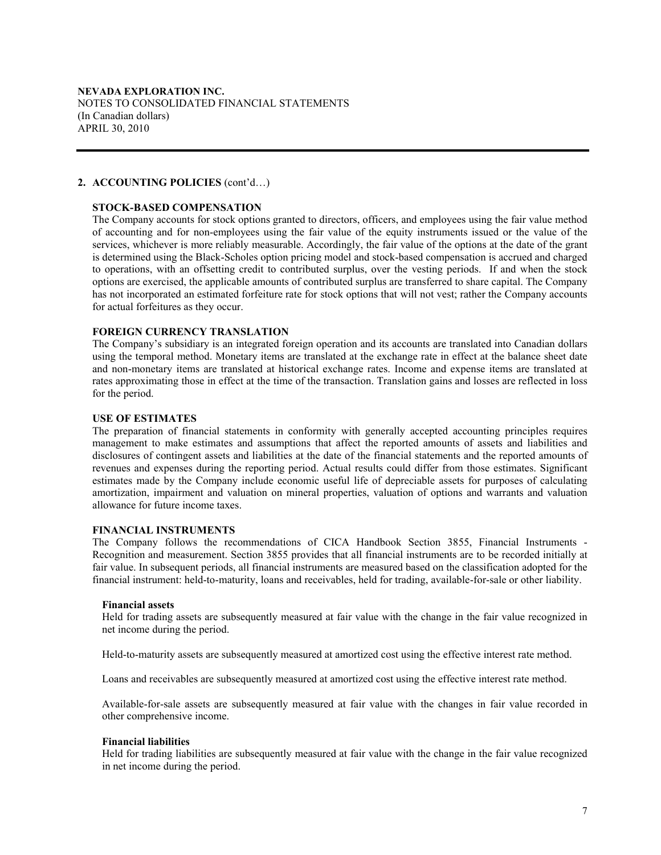## **STOCK-BASED COMPENSATION**

The Company accounts for stock options granted to directors, officers, and employees using the fair value method of accounting and for non-employees using the fair value of the equity instruments issued or the value of the services, whichever is more reliably measurable. Accordingly, the fair value of the options at the date of the grant is determined using the Black-Scholes option pricing model and stock-based compensation is accrued and charged to operations, with an offsetting credit to contributed surplus, over the vesting periods. If and when the stock options are exercised, the applicable amounts of contributed surplus are transferred to share capital. The Company has not incorporated an estimated forfeiture rate for stock options that will not vest; rather the Company accounts for actual forfeitures as they occur.

### **FOREIGN CURRENCY TRANSLATION**

The Company's subsidiary is an integrated foreign operation and its accounts are translated into Canadian dollars using the temporal method. Monetary items are translated at the exchange rate in effect at the balance sheet date and non-monetary items are translated at historical exchange rates. Income and expense items are translated at rates approximating those in effect at the time of the transaction. Translation gains and losses are reflected in loss for the period.

### **USE OF ESTIMATES**

The preparation of financial statements in conformity with generally accepted accounting principles requires management to make estimates and assumptions that affect the reported amounts of assets and liabilities and disclosures of contingent assets and liabilities at the date of the financial statements and the reported amounts of revenues and expenses during the reporting period. Actual results could differ from those estimates. Significant estimates made by the Company include economic useful life of depreciable assets for purposes of calculating amortization, impairment and valuation on mineral properties, valuation of options and warrants and valuation allowance for future income taxes.

#### **FINANCIAL INSTRUMENTS**

The Company follows the recommendations of CICA Handbook Section 3855, Financial Instruments - Recognition and measurement. Section 3855 provides that all financial instruments are to be recorded initially at fair value. In subsequent periods, all financial instruments are measured based on the classification adopted for the financial instrument: held-to-maturity, loans and receivables, held for trading, available-for-sale or other liability.

## **Financial assets**

Held for trading assets are subsequently measured at fair value with the change in the fair value recognized in net income during the period.

Held-to-maturity assets are subsequently measured at amortized cost using the effective interest rate method.

Loans and receivables are subsequently measured at amortized cost using the effective interest rate method.

Available-for-sale assets are subsequently measured at fair value with the changes in fair value recorded in other comprehensive income.

#### **Financial liabilities**

Held for trading liabilities are subsequently measured at fair value with the change in the fair value recognized in net income during the period.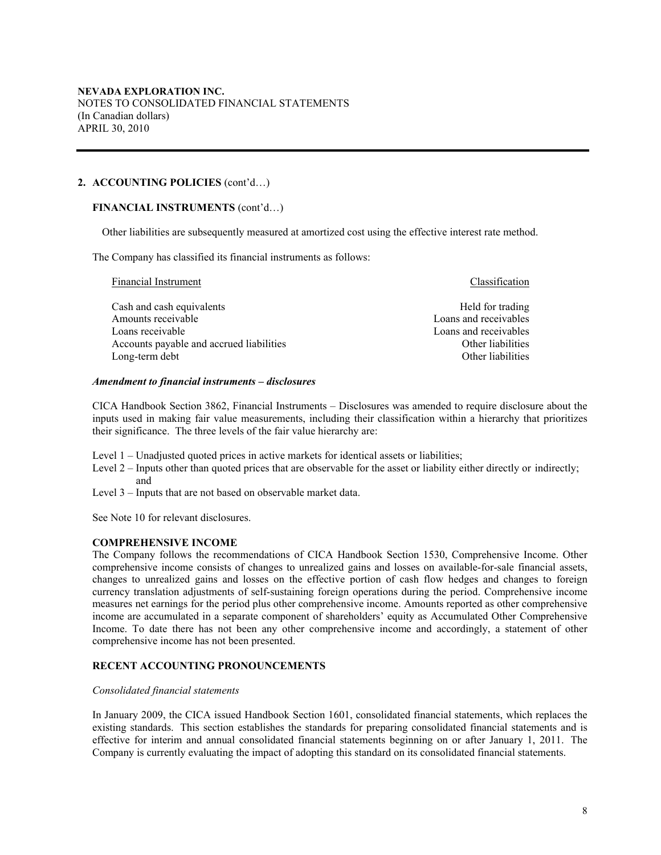## **FINANCIAL INSTRUMENTS** (cont'd…)

Other liabilities are subsequently measured at amortized cost using the effective interest rate method.

The Company has classified its financial instruments as follows:

Financial Instrument **Classification** Classification Cash and cash equivalents **Example 1** and cash equivalents **Held** for trading Amounts receivable **Loans** and receivable **Loans** and receivables Loans receivable Loans and receivables Accounts payable and accrued liabilities **Accounts** Other liabilities Other liabilities Long-term debt **Other liabilities** Other liabilities

#### *Amendment to financial instruments – disclosures*

CICA Handbook Section 3862, Financial Instruments – Disclosures was amended to require disclosure about the inputs used in making fair value measurements, including their classification within a hierarchy that prioritizes their significance. The three levels of the fair value hierarchy are:

- Level 1 Unadjusted quoted prices in active markets for identical assets or liabilities;
- Level 2 Inputs other than quoted prices that are observable for the asset or liability either directly or indirectly; and
- Level 3 Inputs that are not based on observable market data.

See Note 10 for relevant disclosures.

# **COMPREHENSIVE INCOME**

The Company follows the recommendations of CICA Handbook Section 1530, Comprehensive Income. Other comprehensive income consists of changes to unrealized gains and losses on available-for-sale financial assets, changes to unrealized gains and losses on the effective portion of cash flow hedges and changes to foreign currency translation adjustments of self-sustaining foreign operations during the period. Comprehensive income measures net earnings for the period plus other comprehensive income. Amounts reported as other comprehensive income are accumulated in a separate component of shareholders' equity as Accumulated Other Comprehensive Income. To date there has not been any other comprehensive income and accordingly, a statement of other comprehensive income has not been presented.

# **RECENT ACCOUNTING PRONOUNCEMENTS**

#### *Consolidated financial statements*

In January 2009, the CICA issued Handbook Section 1601, consolidated financial statements, which replaces the existing standards. This section establishes the standards for preparing consolidated financial statements and is effective for interim and annual consolidated financial statements beginning on or after January 1, 2011. The Company is currently evaluating the impact of adopting this standard on its consolidated financial statements.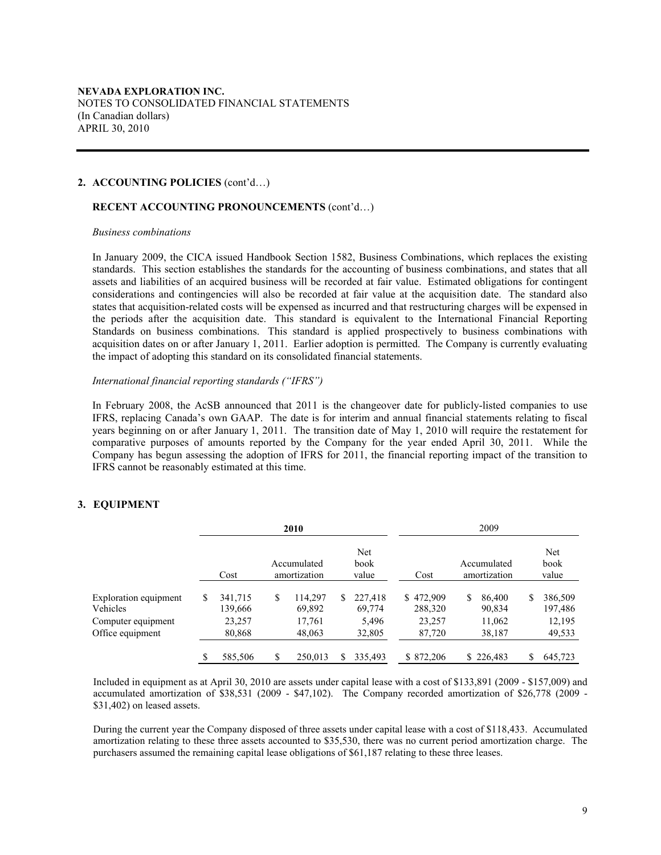## **RECENT ACCOUNTING PRONOUNCEMENTS** (cont'd…)

#### *Business combinations*

In January 2009, the CICA issued Handbook Section 1582, Business Combinations, which replaces the existing standards. This section establishes the standards for the accounting of business combinations, and states that all assets and liabilities of an acquired business will be recorded at fair value. Estimated obligations for contingent considerations and contingencies will also be recorded at fair value at the acquisition date. The standard also states that acquisition-related costs will be expensed as incurred and that restructuring charges will be expensed in the periods after the acquisition date. This standard is equivalent to the International Financial Reporting Standards on business combinations. This standard is applied prospectively to business combinations with acquisition dates on or after January 1, 2011. Earlier adoption is permitted. The Company is currently evaluating the impact of adopting this standard on its consolidated financial statements.

#### *International financial reporting standards ("IFRS")*

In February 2008, the AcSB announced that 2011 is the changeover date for publicly-listed companies to use IFRS, replacing Canada's own GAAP. The date is for interim and annual financial statements relating to fiscal years beginning on or after January 1, 2011. The transition date of May 1, 2010 will require the restatement for comparative purposes of amounts reported by the Company for the year ended April 30, 2011. While the Company has begun assessing the adoption of IFRS for 2011, the financial reporting impact of the transition to IFRS cannot be reasonably estimated at this time.

### **3. EQUIPMENT**

|                                                                |   |                              | 2010                              |    |                            |                                |   | 2009                        |   |                              |
|----------------------------------------------------------------|---|------------------------------|-----------------------------------|----|----------------------------|--------------------------------|---|-----------------------------|---|------------------------------|
|                                                                |   | Cost                         | Accumulated<br>amortization       |    | Net<br>book<br>value       | Cost                           |   | Accumulated<br>amortization |   | Net<br>book<br>value         |
| <b>Exploration equipment</b><br>Vehicles<br>Computer equipment | S | 341,715<br>139,666<br>23,257 | \$<br>114,297<br>69,892<br>17,761 | \$ | 227.418<br>69,774<br>5,496 | \$472,909<br>288,320<br>23,257 | S | 86,400<br>90,834<br>11,062  | S | 386,509<br>197,486<br>12,195 |
| Office equipment                                               |   | 80,868<br>585,506            | \$<br>48,063<br>250.013           | S  | 32,805<br>335.493          | 87,720<br>\$872.206            |   | 38,187<br>\$226,483         | S | 49,533<br>645,723            |

Included in equipment as at April 30, 2010 are assets under capital lease with a cost of \$133,891 (2009 - \$157,009) and accumulated amortization of \$38,531 (2009 - \$47,102). The Company recorded amortization of \$26,778 (2009 - \$31,402) on leased assets.

During the current year the Company disposed of three assets under capital lease with a cost of \$118,433. Accumulated amortization relating to these three assets accounted to \$35,530, there was no current period amortization charge. The purchasers assumed the remaining capital lease obligations of \$61,187 relating to these three leases.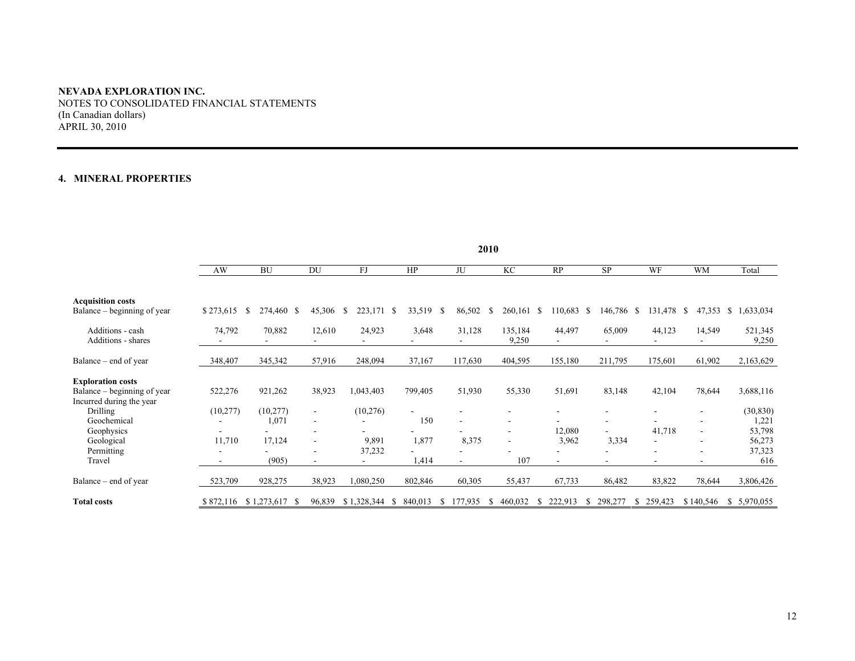# **4. MINERAL PROPERTIES**

|                                                                                     | 2010      |                    |                                            |                 |              |                          |                          |                          |                          |         |                          |                            |
|-------------------------------------------------------------------------------------|-----------|--------------------|--------------------------------------------|-----------------|--------------|--------------------------|--------------------------|--------------------------|--------------------------|---------|--------------------------|----------------------------|
|                                                                                     | AW        | <b>BU</b>          | DU                                         | FJ              | HP           | $\rm JU$                 | KC                       | RP                       | <b>SP</b>                | WF      | <b>WM</b>                | Total                      |
| <b>Acquisition costs</b><br>Balance – beginning of year                             | \$273,615 | 274,460 \$<br>S    | 45,306                                     | \$<br>223,171   | 33,519<br>-S | 86,502<br>-S             | 260,161 \$<br>S          | 110,683                  | 146,786 \$<br>-S         | 131,478 | <sup>\$</sup><br>47,353  | \$1,633,034                |
| Additions - cash<br>Additions - shares                                              | 74,792    | 70,882             | 12,610                                     | 24,923          | 3,648        | 31,128                   | 135,184<br>9,250         | 44,497                   | 65,009                   | 44,123  | 14,549                   | 521,345<br>9,250           |
| Balance – end of year                                                               | 348,407   | 345,342            | 57,916                                     | 248,094         | 37,167       | 117,630                  | 404,595                  | 155,180                  | 211,795                  | 175,601 | 61,902                   | 2,163,629                  |
| <b>Exploration costs</b><br>Balance – beginning of year<br>Incurred during the year | 522,276   | 921,262            | 38,923                                     | 1,043,403       | 799,405      | 51,930                   | 55,330                   | 51,691                   | 83,148                   | 42,104  | 78,644                   | 3,688,116                  |
| Drilling<br>Geochemical                                                             | (10, 277) | (10, 277)<br>1,071 | $\overline{\phantom{a}}$<br>$\blacksquare$ | (10, 276)       | 150          | $\overline{\phantom{a}}$ | $\overline{\phantom{a}}$ |                          |                          |         |                          | (30, 830)<br>1,221         |
| Geophysics<br>Geological<br>Permitting                                              | 11,710    | 17,124             | ۰                                          | 9,891<br>37,232 | 1,877        | 8,375                    | $\overline{\phantom{a}}$ | 12,080<br>3,962          | 3,334<br>۰               | 41,718  |                          | 53,798<br>56,273<br>37,323 |
| Travel                                                                              |           | (905)              | ۰                                          |                 | 1,414        | $\blacksquare$           | 107                      | $\overline{\phantom{a}}$ | $\overline{\phantom{a}}$ | $\sim$  | $\overline{\phantom{a}}$ | 616                        |
| Balance – end of year                                                               | 523,709   | 928,275            | 38,923                                     | ,080,250        | 802,846      | 60,305                   | 55,437                   | 67,733                   | 86,482                   | 83,822  | 78,644                   | 3,806,426                  |
| <b>Total costs</b>                                                                  | \$872,116 | \$1,273,617        | 96,839                                     | \$1,328,344     | 840,013<br>S | 177,935<br>S             | 460,032                  | 222,913<br>Ъ             | 298,277<br><b>S</b>      | 259,423 | \$140,546                | \$5,970,055                |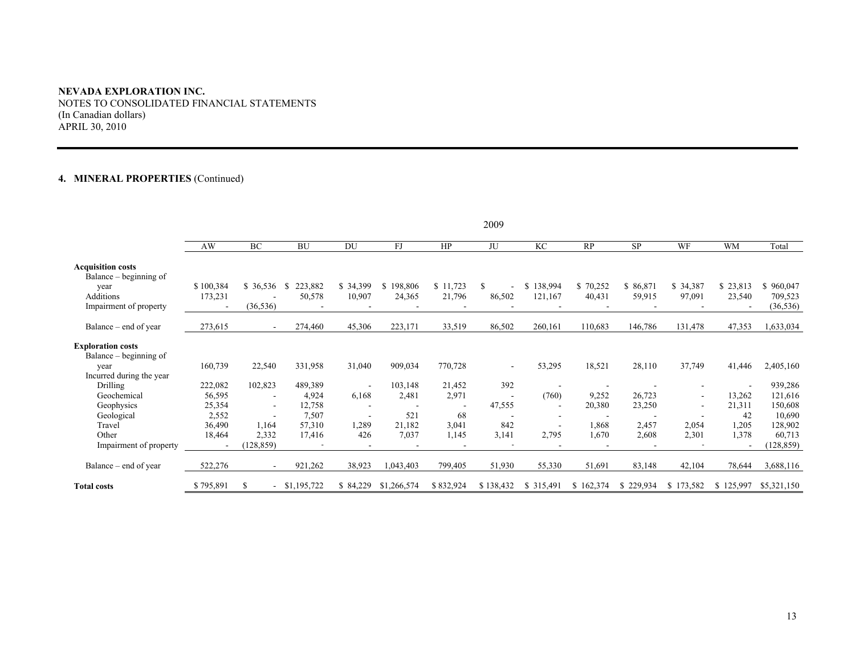# **4. MINERAL PROPERTIES** (Continued)

|                                                    |           |                          |               |                          |               |           | 2009      |               |           |           |                          |                |                      |
|----------------------------------------------------|-----------|--------------------------|---------------|--------------------------|---------------|-----------|-----------|---------------|-----------|-----------|--------------------------|----------------|----------------------|
|                                                    | AW        | BC                       | <b>BU</b>     | DU                       | FJ            | HP        | JU        | KC            | RP        | <b>SP</b> | WF                       | <b>WM</b>      | Total                |
| <b>Acquisition costs</b><br>Balance – beginning of |           |                          |               |                          |               |           |           |               |           |           |                          |                |                      |
| year                                               | \$100,384 | \$36,536                 | 223,882<br>-S | \$34,399                 | 198,806<br>S. | \$11,723  | S.        | 138,994<br>\$ | \$70,252  | \$86,871  | \$34,387                 | \$23,813       | 960,047              |
| Additions<br>Impairment of property                | 173,231   | (36, 536)                | 50,578        | 10,907                   | 24,365        | 21,796    | 86,502    | 121,167       | 40,431    | 59,915    | 97,091                   | 23,540         | 709,523<br>(36, 536) |
|                                                    |           |                          |               |                          |               |           |           |               |           |           |                          |                |                      |
| Balance – end of year                              | 273,615   | $\overline{\phantom{a}}$ | 274,460       | 45,306                   | 223,171       | 33,519    | 86,502    | 260,161       | 110,683   | 146,786   | 131,478                  | 47,353         | 1,633,034            |
| <b>Exploration costs</b><br>Balance – beginning of |           |                          |               |                          |               |           |           |               |           |           |                          |                |                      |
| year<br>Incurred during the year                   | 160,739   | 22,540                   | 331,958       | 31,040                   | 909,034       | 770,728   | ۰         | 53,295        | 18,521    | 28,110    | 37,749                   | 41,446         | 2,405,160            |
| Drilling                                           | 222,082   | 102,823                  | 489,389       |                          | 103,148       | 21,452    | 392       |               |           |           |                          | $\overline{a}$ | 939,286              |
| Geochemical                                        | 56,595    | $\overline{\phantom{a}}$ | 4,924         | 6,168                    | 2,481         | 2,971     |           | (760)         | 9,252     | 26,723    | $\overline{\phantom{a}}$ | 13,262         | 121,616              |
| Geophysics                                         | 25,354    | $\overline{\phantom{a}}$ | 12,758        | $\overline{\phantom{a}}$ |               |           | 47,555    |               | 20,380    | 23,250    | $\overline{\phantom{a}}$ | 21,311         | 150,608              |
| Geological                                         | 2,552     |                          | 7,507         | $\overline{\phantom{a}}$ | 521           | 68        |           |               |           |           |                          | 42             | 10,690               |
| Travel                                             | 36,490    | 1,164                    | 57,310        | 1,289                    | 21,182        | 3,041     | 842       |               | 1,868     | 2,457     | 2,054                    | 1,205          | 128,902              |
| Other                                              | 18,464    | 2,332                    | 17,416        | 426                      | 7,037         | 1,145     | 3,141     | 2,795         | 1,670     | 2,608     | 2,301                    | 1,378          | 60,713               |
| Impairment of property                             |           | (128, 859)               |               |                          |               |           |           |               |           |           |                          |                | (128, 859)           |
| Balance – end of year                              | 522,276   | $\sim$                   | 921,262       | 38,923                   | 1,043,403     | 799,405   | 51,930    | 55,330        | 51,691    | 83,148    | 42,104                   | 78,644         | 3,688,116            |
| <b>Total costs</b>                                 | \$795,891 | S                        | \$1,195,722   | \$84,229                 | \$1,266,574   | \$832,924 | \$138,432 | \$315,49      | \$162,374 | \$229,934 | \$173,582                | \$125,997      | \$5,321,150          |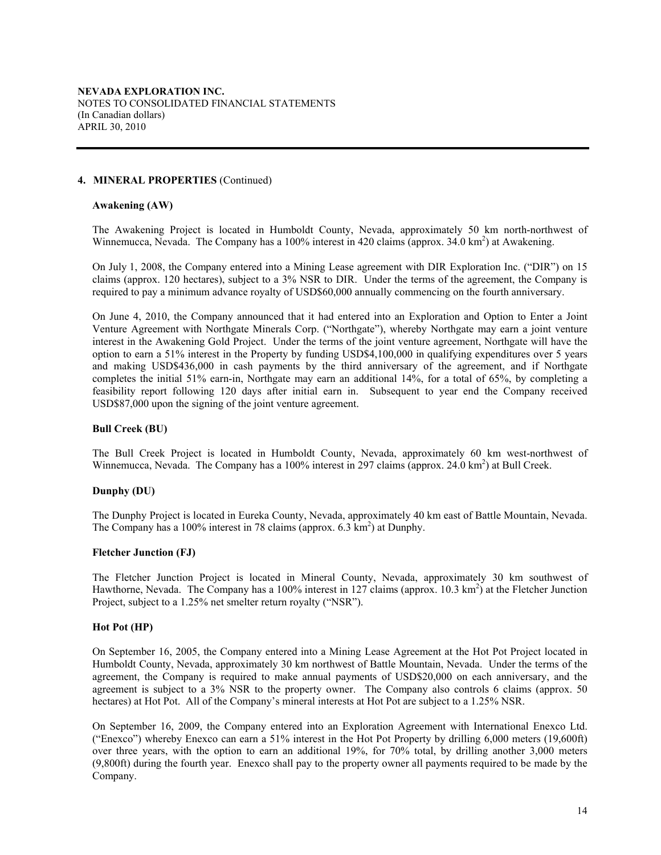## **4. MINERAL PROPERTIES** (Continued)

#### **Awakening (AW)**

The Awakening Project is located in Humboldt County, Nevada, approximately 50 km north-northwest of Winnemucca, Nevada. The Company has a 100% interest in 420 claims (approx. 34.0 km<sup>2</sup>) at Awakening.

On July 1, 2008, the Company entered into a Mining Lease agreement with DIR Exploration Inc. ("DIR") on 15 claims (approx. 120 hectares), subject to a 3% NSR to DIR. Under the terms of the agreement, the Company is required to pay a minimum advance royalty of USD\$60,000 annually commencing on the fourth anniversary.

On June 4, 2010, the Company announced that it had entered into an Exploration and Option to Enter a Joint Venture Agreement with Northgate Minerals Corp. ("Northgate"), whereby Northgate may earn a joint venture interest in the Awakening Gold Project. Under the terms of the joint venture agreement, Northgate will have the option to earn a 51% interest in the Property by funding USD\$4,100,000 in qualifying expenditures over 5 years and making USD\$436,000 in cash payments by the third anniversary of the agreement, and if Northgate completes the initial 51% earn-in, Northgate may earn an additional 14%, for a total of 65%, by completing a feasibility report following 120 days after initial earn in. Subsequent to year end the Company received USD\$87,000 upon the signing of the joint venture agreement.

## **Bull Creek (BU)**

The Bull Creek Project is located in Humboldt County, Nevada, approximately 60 km west-northwest of Winnemucca, Nevada. The Company has a 100% interest in 297 claims (approx. 24.0 km<sup>2</sup>) at Bull Creek.

# **Dunphy (DU)**

The Dunphy Project is located in Eureka County, Nevada, approximately 40 km east of Battle Mountain, Nevada. The Company has a 100% interest in 78 claims (approx. 6.3 km<sup>2</sup>) at Dunphy.

#### **Fletcher Junction (FJ)**

The Fletcher Junction Project is located in Mineral County, Nevada, approximately 30 km southwest of Hawthorne, Nevada. The Company has a 100% interest in 127 claims (approx. 10.3 km<sup>2</sup>) at the Fletcher Junction Project, subject to a 1.25% net smelter return royalty ("NSR").

# **Hot Pot (HP)**

On September 16, 2005, the Company entered into a Mining Lease Agreement at the Hot Pot Project located in Humboldt County, Nevada, approximately 30 km northwest of Battle Mountain, Nevada. Under the terms of the agreement, the Company is required to make annual payments of USD\$20,000 on each anniversary, and the agreement is subject to a 3% NSR to the property owner. The Company also controls 6 claims (approx. 50) hectares) at Hot Pot. All of the Company's mineral interests at Hot Pot are subject to a 1.25% NSR.

On September 16, 2009, the Company entered into an Exploration Agreement with International Enexco Ltd. ("Enexco") whereby Enexco can earn a 51% interest in the Hot Pot Property by drilling 6,000 meters (19,600ft) over three years, with the option to earn an additional 19%, for 70% total, by drilling another 3,000 meters (9,800ft) during the fourth year. Enexco shall pay to the property owner all payments required to be made by the Company.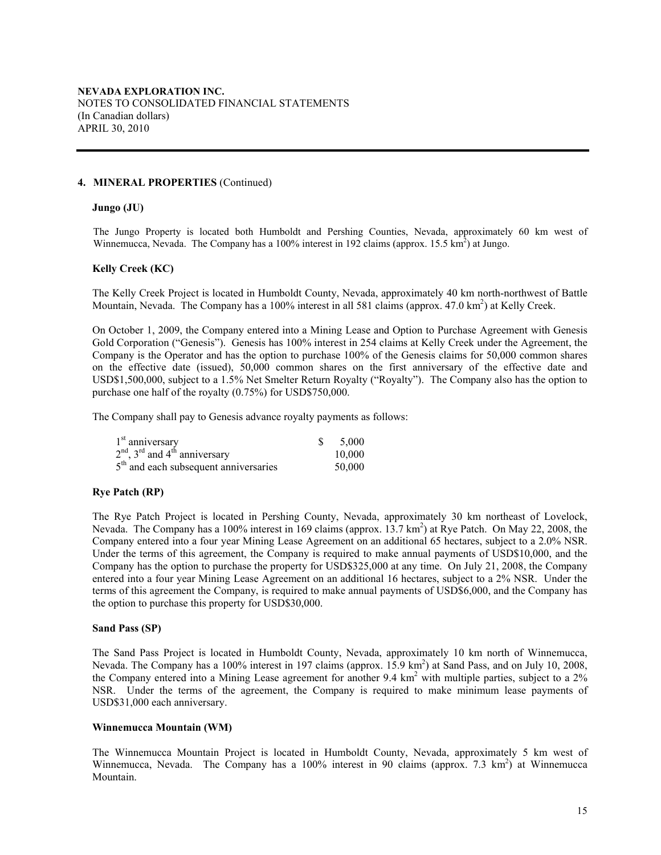#### **4. MINERAL PROPERTIES** (Continued)

#### **Jungo (JU)**

The Jungo Property is located both Humboldt and Pershing Counties, Nevada, approximately 60 km west of Winnemucca, Nevada. The Company has a 100% interest in 192 claims (approx. 15.5  $\text{km}^2$ ) at Jungo.

## **Kelly Creek (KC)**

The Kelly Creek Project is located in Humboldt County, Nevada, approximately 40 km north-northwest of Battle Mountain, Nevada. The Company has a 100% interest in all 581 claims (approx. 47.0 km<sup>2</sup>) at Kelly Creek.

On October 1, 2009, the Company entered into a Mining Lease and Option to Purchase Agreement with Genesis Gold Corporation ("Genesis"). Genesis has 100% interest in 254 claims at Kelly Creek under the Agreement, the Company is the Operator and has the option to purchase 100% of the Genesis claims for 50,000 common shares on the effective date (issued), 50,000 common shares on the first anniversary of the effective date and USD\$1,500,000, subject to a 1.5% Net Smelter Return Royalty ("Royalty"). The Company also has the option to purchase one half of the royalty (0.75%) for USD\$750,000.

The Company shall pay to Genesis advance royalty payments as follows:

| $1st$ anniversary                                       | 5.000  |
|---------------------------------------------------------|--------|
| $2nd$ , 3 <sup>rd</sup> and 4 <sup>th</sup> anniversary | 10.000 |
| $5th$ and each subsequent anniversaries                 | 50,000 |

## **Rye Patch (RP)**

The Rye Patch Project is located in Pershing County, Nevada, approximately 30 km northeast of Lovelock, Nevada. The Company has a 100% interest in 169 claims (approx. 13.7 km<sup>2</sup>) at Rye Patch. On May 22, 2008, the Company entered into a four year Mining Lease Agreement on an additional 65 hectares, subject to a 2.0% NSR. Under the terms of this agreement, the Company is required to make annual payments of USD\$10,000, and the Company has the option to purchase the property for USD\$325,000 at any time. On July 21, 2008, the Company entered into a four year Mining Lease Agreement on an additional 16 hectares, subject to a 2% NSR. Under the terms of this agreement the Company, is required to make annual payments of USD\$6,000, and the Company has the option to purchase this property for USD\$30,000.

#### **Sand Pass (SP)**

The Sand Pass Project is located in Humboldt County, Nevada, approximately 10 km north of Winnemucca, Nevada. The Company has a 100% interest in 197 claims (approx. 15.9 km<sup>2</sup>) at Sand Pass, and on July 10, 2008, the Company entered into a Mining Lease agreement for another 9.4 km<sup>2</sup> with multiple parties, subject to a 2% NSR. Under the terms of the agreement, the Company is required to make minimum lease payments of USD\$31,000 each anniversary.

#### **Winnemucca Mountain (WM)**

The Winnemucca Mountain Project is located in Humboldt County, Nevada, approximately 5 km west of Winnemucca, Nevada. The Company has a 100% interest in 90 claims (approx. 7.3 km<sup>2</sup>) at Winnemucca Mountain.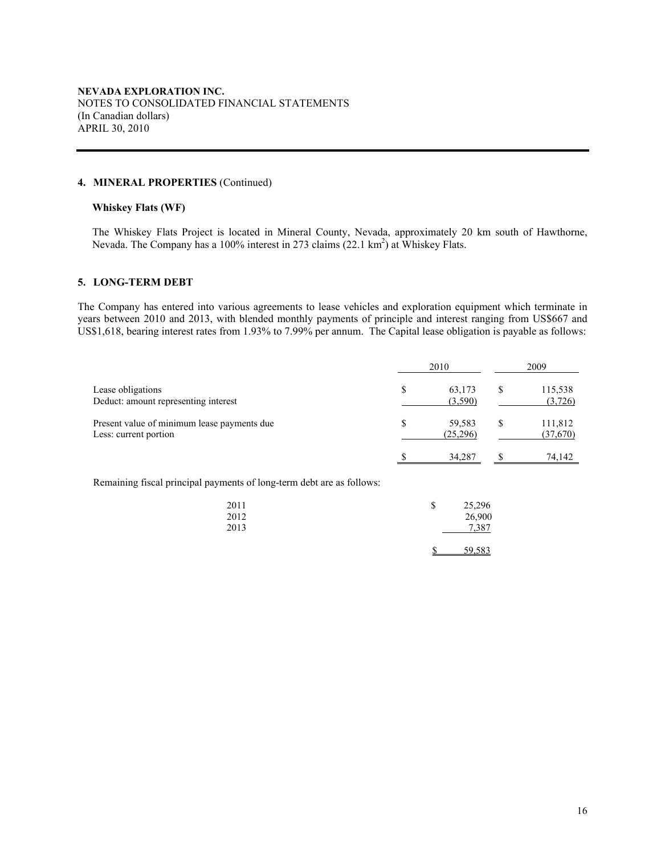## **4. MINERAL PROPERTIES** (Continued)

## **Whiskey Flats (WF)**

The Whiskey Flats Project is located in Mineral County, Nevada, approximately 20 km south of Hawthorne, Nevada. The Company has a 100% interest in 273 claims (22.1 km<sup>2</sup>) at Whiskey Flats.

## **5. LONG-TERM DEBT**

The Company has entered into various agreements to lease vehicles and exploration equipment which terminate in years between 2010 and 2013, with blended monthly payments of principle and interest ranging from US\$667 and US\$1,618, bearing interest rates from 1.93% to 7.99% per annum. The Capital lease obligation is payable as follows:

|                                                                      |   | 2010               |   | 2009                |
|----------------------------------------------------------------------|---|--------------------|---|---------------------|
| Lease obligations<br>Deduct: amount representing interest            | S | 63,173<br>(3,590)  | S | 115,538<br>(3,726)  |
| Present value of minimum lease payments due<br>Less: current portion | S | 59,583<br>(25,296) |   | 111,812<br>(37,670) |
|                                                                      |   | 34,287             |   | 74,142              |

Remaining fiscal principal payments of long-term debt are as follows:

| 2011<br>2012<br>2013 | \$<br>25,296<br>26,900<br>7.387 |
|----------------------|---------------------------------|
|                      | 59,583                          |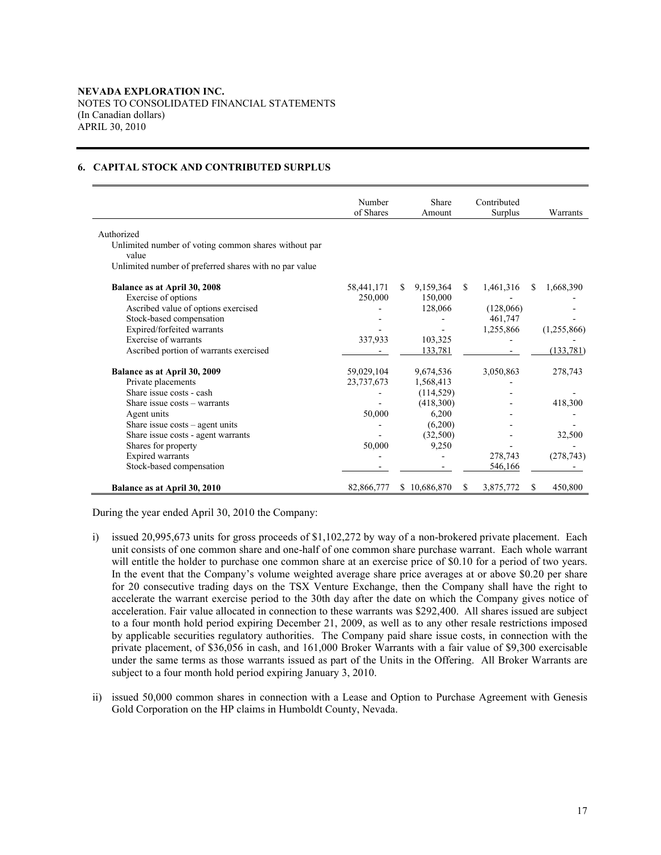# **6. CAPITAL STOCK AND CONTRIBUTED SURPLUS**

|                                                        | Number<br>of Shares | Share<br>Amount  |    | Contributed<br>Surplus |   | Warrants    |
|--------------------------------------------------------|---------------------|------------------|----|------------------------|---|-------------|
| Authorized                                             |                     |                  |    |                        |   |             |
| Unlimited number of voting common shares without par   |                     |                  |    |                        |   |             |
| value                                                  |                     |                  |    |                        |   |             |
| Unlimited number of preferred shares with no par value |                     |                  |    |                        |   |             |
| Balance as at April 30, 2008                           | 58,441,171          | 9,159,364<br>\$. | S. | 1,461,316              | S | 1,668,390   |
| Exercise of options                                    | 250,000             | 150,000          |    |                        |   |             |
| Ascribed value of options exercised                    |                     | 128,066          |    | (128,066)              |   |             |
| Stock-based compensation                               |                     |                  |    | 461,747                |   |             |
| Expired/forfeited warrants                             |                     |                  |    | 1,255,866              |   | (1,255,866) |
| Exercise of warrants                                   | 337,933             | 103,325          |    |                        |   |             |
| Ascribed portion of warrants exercised                 |                     | 133,781          |    |                        |   | (133,781)   |
| Balance as at April 30, 2009                           | 59,029,104          | 9,674,536        |    | 3,050,863              |   | 278,743     |
| Private placements                                     | 23,737,673          | 1,568,413        |    |                        |   |             |
| Share issue costs - cash                               |                     | (114, 529)       |    |                        |   |             |
| Share issue costs – warrants                           |                     | (418,300)        |    |                        |   | 418,300     |
| Agent units                                            | 50,000              | 6,200            |    |                        |   |             |
| Share issue $costs$ – agent units                      |                     | (6,200)          |    |                        |   |             |
| Share issue costs - agent warrants                     |                     | (32,500)         |    |                        |   | 32,500      |
| Shares for property                                    | 50,000              | 9,250            |    |                        |   |             |
| Expired warrants                                       |                     |                  |    | 278,743                |   | (278, 743)  |
| Stock-based compensation                               |                     |                  |    | 546,166                |   |             |
| Balance as at April 30, 2010                           | 82,866,777          | \$10,686,870     | S  | 3,875,772              | S | 450,800     |

During the year ended April 30, 2010 the Company:

- i) issued 20,995,673 units for gross proceeds of \$1,102,272 by way of a non-brokered private placement. Each unit consists of one common share and one-half of one common share purchase warrant. Each whole warrant will entitle the holder to purchase one common share at an exercise price of \$0.10 for a period of two years. In the event that the Company's volume weighted average share price averages at or above \$0.20 per share for 20 consecutive trading days on the TSX Venture Exchange, then the Company shall have the right to accelerate the warrant exercise period to the 30th day after the date on which the Company gives notice of acceleration. Fair value allocated in connection to these warrants was \$292,400. All shares issued are subject to a four month hold period expiring December 21, 2009, as well as to any other resale restrictions imposed by applicable securities regulatory authorities.The Company paid share issue costs, in connection with the private placement, of \$36,056 in cash, and 161,000 Broker Warrants with a fair value of \$9,300 exercisable under the same terms as those warrants issued as part of the Units in the Offering. All Broker Warrants are subject to a four month hold period expiring January 3, 2010.
- ii) issued 50,000 common shares in connection with a Lease and Option to Purchase Agreement with Genesis Gold Corporation on the HP claims in Humboldt County, Nevada.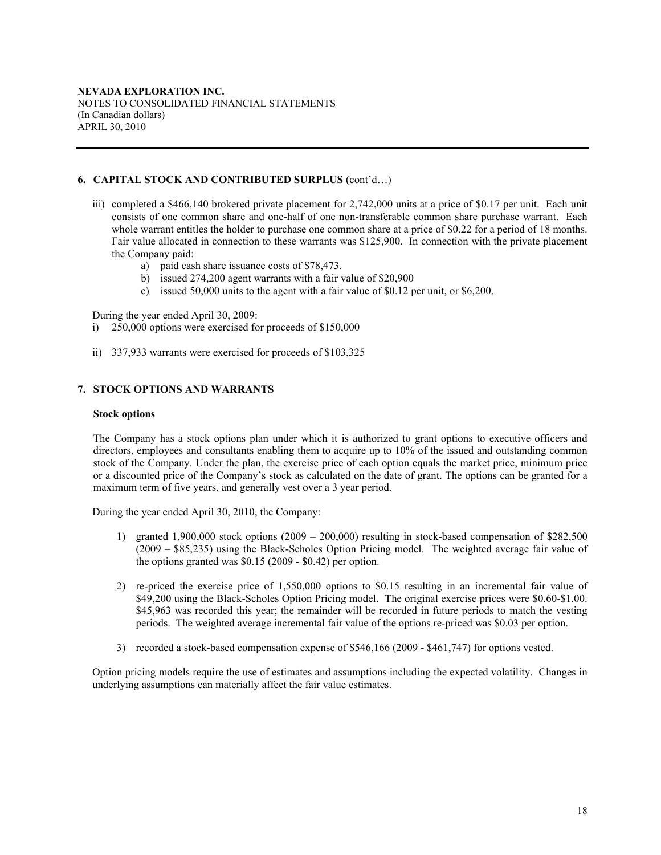## **6. CAPITAL STOCK AND CONTRIBUTED SURPLUS** (cont'd…)

- iii) completed a \$466,140 brokered private placement for 2,742,000 units at a price of \$0.17 per unit. Each unit consists of one common share and one-half of one non-transferable common share purchase warrant. Each whole warrant entitles the holder to purchase one common share at a price of \$0.22 for a period of 18 months. Fair value allocated in connection to these warrants was \$125,900. In connection with the private placement the Company paid:
	- a) paid cash share issuance costs of \$78,473.
	- b) issued 274,200 agent warrants with a fair value of \$20,900
	- c) issued 50,000 units to the agent with a fair value of \$0.12 per unit, or \$6,200.

During the year ended April 30, 2009:

- i) 250,000 options were exercised for proceeds of \$150,000
- ii) 337,933 warrants were exercised for proceeds of \$103,325

## **7. STOCK OPTIONS AND WARRANTS**

#### **Stock options**

The Company has a stock options plan under which it is authorized to grant options to executive officers and directors, employees and consultants enabling them to acquire up to 10% of the issued and outstanding common stock of the Company. Under the plan, the exercise price of each option equals the market price, minimum price or a discounted price of the Company's stock as calculated on the date of grant. The options can be granted for a maximum term of five years, and generally vest over a 3 year period.

During the year ended April 30, 2010, the Company:

- 1) granted 1,900,000 stock options  $(2009 200,000)$  resulting in stock-based compensation of \$282,500 (2009 – \$85,235) using the Black-Scholes Option Pricing model. The weighted average fair value of the options granted was \$0.15 (2009 - \$0.42) per option.
- 2) re-priced the exercise price of 1,550,000 options to \$0.15 resulting in an incremental fair value of \$49,200 using the Black-Scholes Option Pricing model. The original exercise prices were \$0.60-\$1.00. \$45,963 was recorded this year; the remainder will be recorded in future periods to match the vesting periods. The weighted average incremental fair value of the options re-priced was \$0.03 per option.
- 3) recorded a stock-based compensation expense of \$546,166 (2009 \$461,747) for options vested.

Option pricing models require the use of estimates and assumptions including the expected volatility. Changes in underlying assumptions can materially affect the fair value estimates.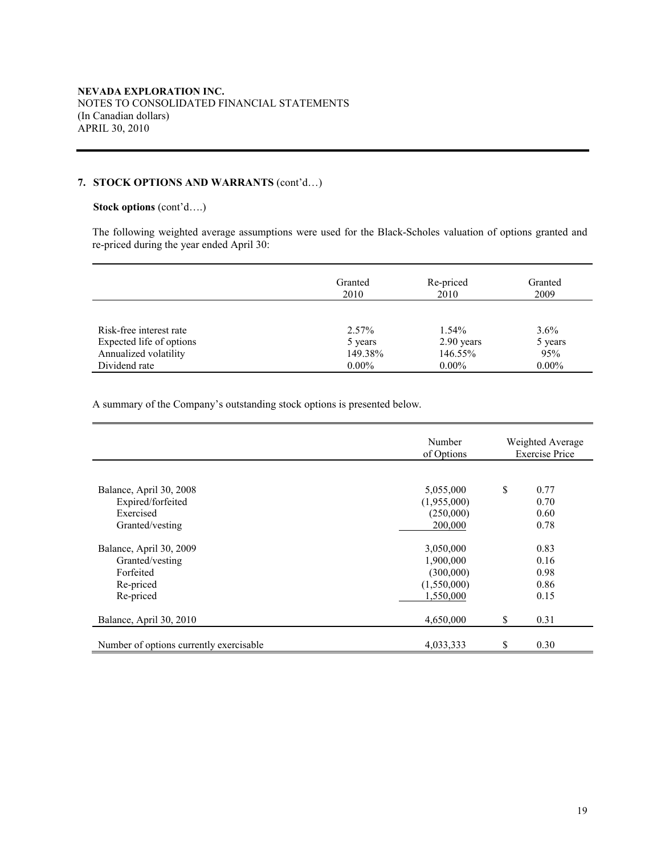# **7. STOCK OPTIONS AND WARRANTS** (cont'd…)

## **Stock options** (cont'd….)

The following weighted average assumptions were used for the Black-Scholes valuation of options granted and re-priced during the year ended April 30:

|                          | Granted<br>2010 | Re-priced<br>2010 | Granted<br>2009 |
|--------------------------|-----------------|-------------------|-----------------|
|                          |                 |                   |                 |
| Risk-free interest rate  | 2.57%           | 1.54%             | $3.6\%$         |
| Expected life of options | 5 years         | 2.90 years        | 5 years         |
| Annualized volatility    | 149.38%         | 146.55%           | 95%             |
| Dividend rate            | $0.00\%$        | $0.00\%$          | $0.00\%$        |

A summary of the Company's outstanding stock options is presented below.

|                                              | Number<br>of Options     | Weighted Average<br><b>Exercise Price</b> |
|----------------------------------------------|--------------------------|-------------------------------------------|
|                                              |                          |                                           |
| Balance, April 30, 2008<br>Expired/forfeited | 5,055,000<br>(1,955,000) | \$<br>0.77<br>0.70                        |
| Exercised<br>Granted/vesting                 | (250,000)<br>200,000     | 0.60<br>0.78                              |
|                                              |                          |                                           |
| Balance, April 30, 2009                      | 3,050,000                | 0.83                                      |
| Granted/vesting                              | 1,900,000                | 0.16                                      |
| Forfeited                                    | (300,000)                | 0.98                                      |
| Re-priced                                    | (1,550,000)              | 0.86                                      |
| Re-priced                                    | 1,550,000                | 0.15                                      |
| Balance, April 30, 2010                      | 4,650,000                | \$<br>0.31                                |
| Number of options currently exercisable      | 4,033,333                | \$<br>0.30                                |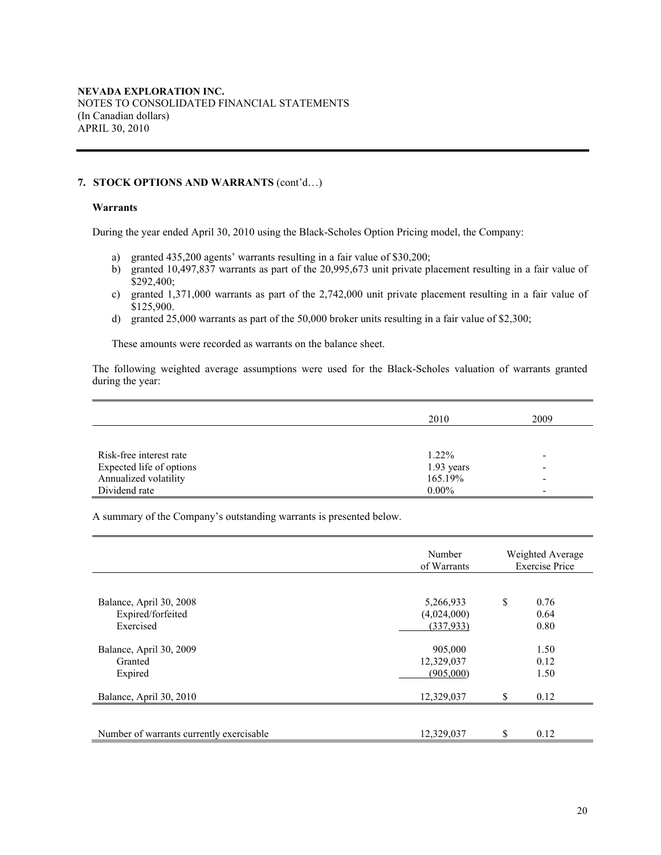## **7. STOCK OPTIONS AND WARRANTS** (cont'd…)

# **Warrants**

During the year ended April 30, 2010 using the Black-Scholes Option Pricing model, the Company:

- a) granted 435,200 agents' warrants resulting in a fair value of \$30,200;
- b) granted 10,497,837 warrants as part of the 20,995,673 unit private placement resulting in a fair value of \$292,400;
- c) granted 1,371,000 warrants as part of the 2,742,000 unit private placement resulting in a fair value of \$125,900.
- d) granted 25,000 warrants as part of the 50,000 broker units resulting in a fair value of \$2,300;

These amounts were recorded as warrants on the balance sheet.

The following weighted average assumptions were used for the Black-Scholes valuation of warrants granted during the year:

|                          | 2010       | 2009                     |
|--------------------------|------------|--------------------------|
|                          |            |                          |
| Risk-free interest rate  | 1.22%      | $\overline{\phantom{0}}$ |
| Expected life of options | 1.93 years | $\overline{\phantom{a}}$ |
| Annualized volatility    | 165.19%    | $\overline{\phantom{a}}$ |
| Dividend rate            | $0.00\%$   | $\overline{\phantom{0}}$ |

A summary of the Company's outstanding warrants is presented below.

|                                                           | Number<br>of Warrants                 | Weighted Average<br><b>Exercise Price</b> |                      |  |
|-----------------------------------------------------------|---------------------------------------|-------------------------------------------|----------------------|--|
| Balance, April 30, 2008<br>Expired/forfeited<br>Exercised | 5,266,933<br>(4,024,000)<br>(337,933) | \$                                        | 0.76<br>0.64<br>0.80 |  |
| Balance, April 30, 2009<br>Granted<br>Expired             | 905,000<br>12,329,037<br>(905,000)    |                                           | 1.50<br>0.12<br>1.50 |  |
| Balance, April 30, 2010                                   | 12,329,037                            | $\mathbf S$                               | 0.12                 |  |
| Number of warrants currently exercisable                  | 12,329,037                            | \$                                        | 0.12                 |  |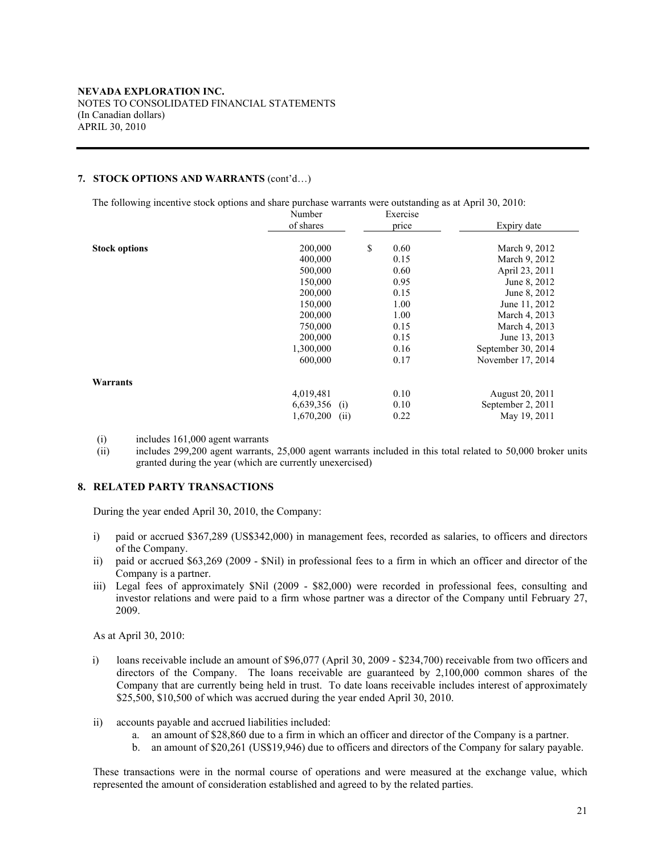# **7. STOCK OPTIONS AND WARRANTS** (cont'd…)

The following incentive stock options and share purchase warrants were outstanding as at April 30, 2010:

|                      | Number            | Exercise   |                    |
|----------------------|-------------------|------------|--------------------|
|                      | of shares         | price      | Expiry date        |
|                      |                   |            |                    |
| <b>Stock options</b> | 200,000           | \$<br>0.60 | March 9, 2012      |
|                      | 400,000           | 0.15       | March 9, 2012      |
|                      | 500,000           | 0.60       | April 23, 2011     |
|                      | 150,000           | 0.95       | June 8, 2012       |
|                      | 200,000           | 0.15       | June 8, 2012       |
|                      | 150,000           | 1.00       | June 11, 2012      |
|                      | 200,000           | 1.00       | March 4, 2013      |
|                      | 750,000           | 0.15       | March 4, 2013      |
|                      | 200,000           | 0.15       | June 13, 2013      |
|                      | 1,300,000         | 0.16       | September 30, 2014 |
|                      | 600,000           | 0.17       | November 17, 2014  |
| Warrants             |                   |            |                    |
|                      | 4,019,481         | 0.10       | August 20, 2011    |
|                      | $6,639,356$ (i)   | 0.10       | September 2, 2011  |
|                      | 1,670,200<br>(ii) | 0.22       | May 19, 2011       |

(i) includes 161,000 agent warrants

(ii) includes 299,200 agent warrants, 25,000 agent warrants included in this total related to 50,000 broker units granted during the year (which are currently unexercised)

## **8. RELATED PARTY TRANSACTIONS**

During the year ended April 30, 2010, the Company:

- i) paid or accrued \$367,289 (US\$342,000) in management fees, recorded as salaries, to officers and directors of the Company.
- ii) paid or accrued \$63,269 (2009 \$Nil) in professional fees to a firm in which an officer and director of the Company is a partner.
- iii) Legal fees of approximately \$Nil (2009 \$82,000) were recorded in professional fees, consulting and investor relations and were paid to a firm whose partner was a director of the Company until February 27, 2009.

As at April 30, 2010:

- i) loans receivable include an amount of \$96,077 (April 30, 2009 \$234,700) receivable from two officers and directors of the Company. The loans receivable are guaranteed by 2,100,000 common shares of the Company that are currently being held in trust. To date loans receivable includes interest of approximately \$25,500, \$10,500 of which was accrued during the year ended April 30, 2010.
- ii) accounts payable and accrued liabilities included:
	- a. an amount of \$28,860 due to a firm in which an officer and director of the Company is a partner.
	- b. an amount of \$20,261 (US\$19,946) due to officers and directors of the Company for salary payable.

These transactions were in the normal course of operations and were measured at the exchange value, which represented the amount of consideration established and agreed to by the related parties.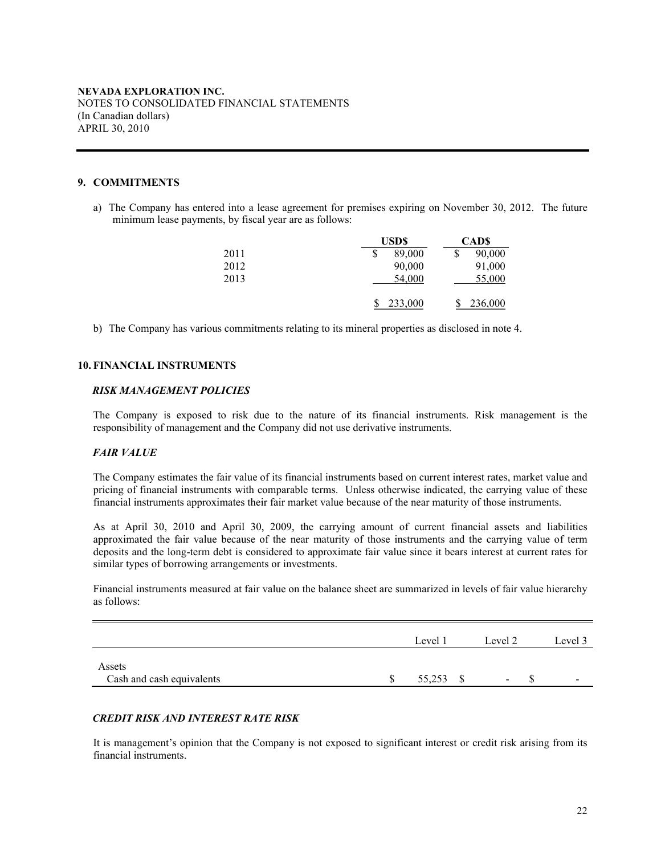## **9. COMMITMENTS**

a) The Company has entered into a lease agreement for premises expiring on November 30, 2012. The future minimum lease payments, by fiscal year are as follows:

|      | <b>USDS</b> | <b>CADS</b>  |
|------|-------------|--------------|
| 2011 | 89,000      | \$<br>90,000 |
| 2012 | 90,000      | 91,000       |
| 2013 | 54,000      | 55,000       |
|      |             |              |
|      | 233,000     | 236,000      |

b) The Company has various commitments relating to its mineral properties as disclosed in note 4.

## **10. FINANCIAL INSTRUMENTS**

#### *RISK MANAGEMENT POLICIES*

The Company is exposed to risk due to the nature of its financial instruments. Risk management is the responsibility of management and the Company did not use derivative instruments.

# *FAIR VALUE*

The Company estimates the fair value of its financial instruments based on current interest rates, market value and pricing of financial instruments with comparable terms. Unless otherwise indicated, the carrying value of these financial instruments approximates their fair market value because of the near maturity of those instruments.

As at April 30, 2010 and April 30, 2009, the carrying amount of current financial assets and liabilities approximated the fair value because of the near maturity of those instruments and the carrying value of term deposits and the long-term debt is considered to approximate fair value since it bears interest at current rates for similar types of borrowing arrangements or investments.

Financial instruments measured at fair value on the balance sheet are summarized in levels of fair value hierarchy as follows:

|                                     | Level 1 | Level 2         | Level 3                  |
|-------------------------------------|---------|-----------------|--------------------------|
| Assets<br>Cash and cash equivalents | 55,253  | $\qquad \qquad$ | $\overline{\phantom{a}}$ |

# *CREDIT RISK AND INTEREST RATE RISK*

It is management's opinion that the Company is not exposed to significant interest or credit risk arising from its financial instruments.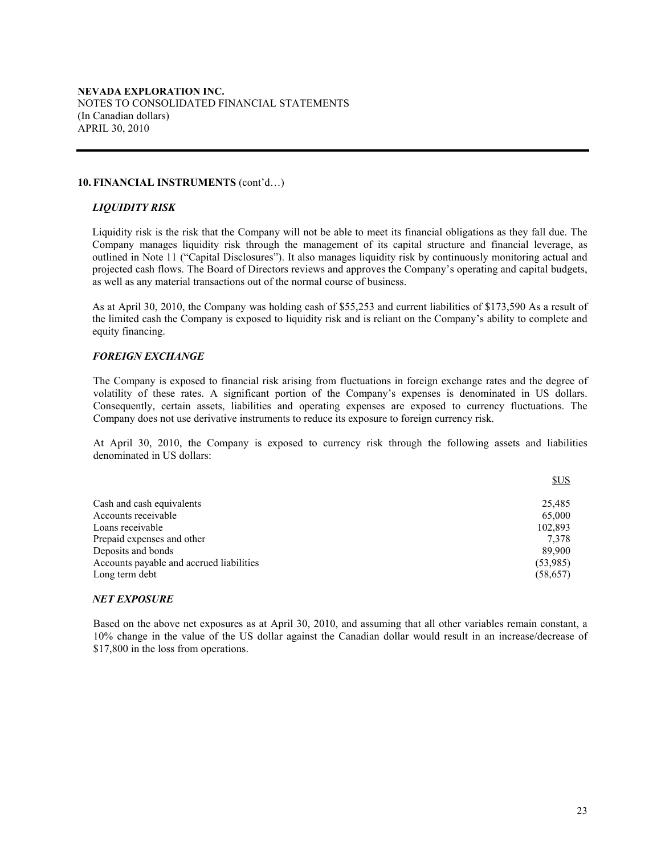#### **10. FINANCIAL INSTRUMENTS** (cont'd…)

## *LIQUIDITY RISK*

Liquidity risk is the risk that the Company will not be able to meet its financial obligations as they fall due. The Company manages liquidity risk through the management of its capital structure and financial leverage, as outlined in Note 11 ("Capital Disclosures"). It also manages liquidity risk by continuously monitoring actual and projected cash flows. The Board of Directors reviews and approves the Company's operating and capital budgets, as well as any material transactions out of the normal course of business.

As at April 30, 2010, the Company was holding cash of \$55,253 and current liabilities of \$173,590 As a result of the limited cash the Company is exposed to liquidity risk and is reliant on the Company's ability to complete and equity financing.

## *FOREIGN EXCHANGE*

The Company is exposed to financial risk arising from fluctuations in foreign exchange rates and the degree of volatility of these rates. A significant portion of the Company's expenses is denominated in US dollars. Consequently, certain assets, liabilities and operating expenses are exposed to currency fluctuations. The Company does not use derivative instruments to reduce its exposure to foreign currency risk.

At April 30, 2010, the Company is exposed to currency risk through the following assets and liabilities denominated in US dollars:

|                                          | SUS       |
|------------------------------------------|-----------|
| Cash and cash equivalents                | 25.485    |
| Accounts receivable                      | 65,000    |
| Loans receivable                         | 102.893   |
| Prepaid expenses and other               | 7.378     |
| Deposits and bonds                       | 89.900    |
| Accounts payable and accrued liabilities | (53,985)  |
| Long term debt                           | (58, 657) |

#### *NET EXPOSURE*

Based on the above net exposures as at April 30, 2010, and assuming that all other variables remain constant, a 10% change in the value of the US dollar against the Canadian dollar would result in an increase/decrease of \$17,800 in the loss from operations.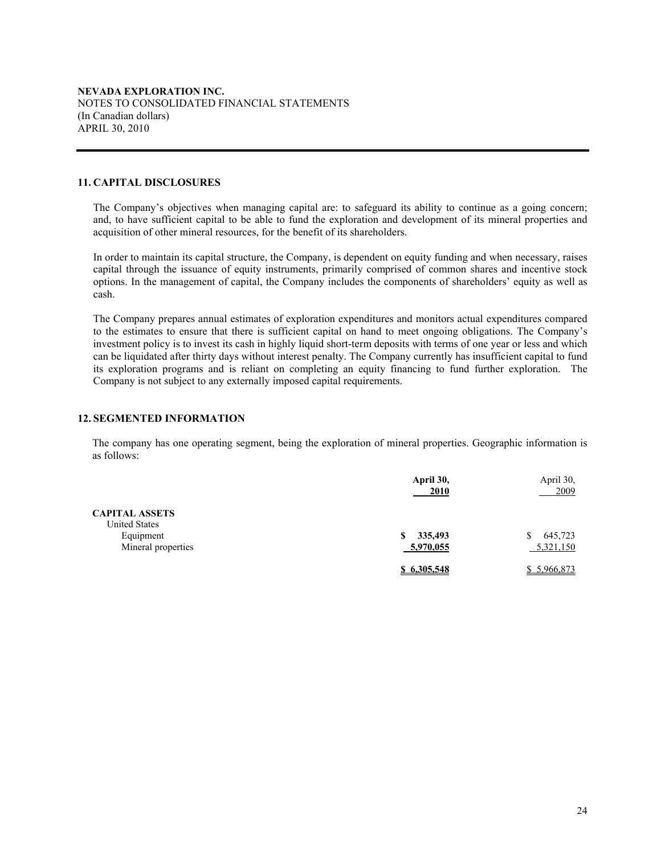#### **11. CAPITAL DISCLOSURES**

The Company's objectives when managing capital are: to safeguard its ability to continue as a going concern; and, to have sufficient capital to be able to fund the exploration and development of its mineral properties and acquisition of other mineral resources, for the benefit of its shareholders.

In order to maintain its capital structure, the Company, is dependent on equity funding and when necessary, raises capital through the issuance of equity instruments, primarily comprised of common shares and incentive stock options. In the management of capital, the Company includes the components of shareholders' equity as well as cash.

The Company prepares annual estimates of exploration expenditures and monitors actual expenditures compared to the estimates to ensure that there is sufficient capital on hand to meet ongoing obligations. The Company's investment policy is to invest its cash in highly liquid short-term deposits with terms of one year or less and which can be liquidated after thirty days without interest penalty. The Company currently has insufficient capital to fund its exploration programs and is reliant on completing an equity financing to fund further exploration. The Company is not subject to any externally imposed capital requirements.

## **12. SEGMENTED INFORMATION**

The company has one operating segment, being the exploration of mineral properties. Geographic information is as follows:

|                                               | April 30,<br>2010 | April 30,<br><u>2009</u> |
|-----------------------------------------------|-------------------|--------------------------|
| <b>CAPITAL ASSETS</b><br><b>United States</b> |                   |                          |
| Equipment                                     | 335,493<br>S      | 645,723                  |
| Mineral properties                            | 5,970,055         | 5,321,150                |
|                                               | \$6.305.548       | \$5,966,873              |